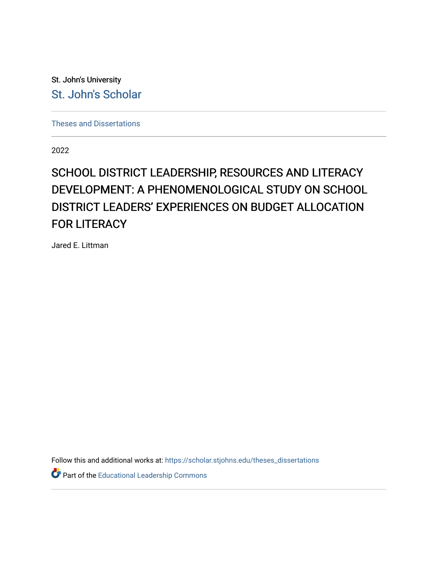St. John's University [St. John's Scholar](https://scholar.stjohns.edu/) 

[Theses and Dissertations](https://scholar.stjohns.edu/theses_dissertations)

2022

# SCHOOL DISTRICT LEADERSHIP, RESOURCES AND LITERACY DEVELOPMENT: A PHENOMENOLOGICAL STUDY ON SCHOOL DISTRICT LEADERS' EXPERIENCES ON BUDGET ALLOCATION FOR LITERACY

Jared E. Littman

Follow this and additional works at: [https://scholar.stjohns.edu/theses\\_dissertations](https://scholar.stjohns.edu/theses_dissertations?utm_source=scholar.stjohns.edu%2Ftheses_dissertations%2F361&utm_medium=PDF&utm_campaign=PDFCoverPages)

Part of the [Educational Leadership Commons](http://network.bepress.com/hgg/discipline/1230?utm_source=scholar.stjohns.edu%2Ftheses_dissertations%2F361&utm_medium=PDF&utm_campaign=PDFCoverPages)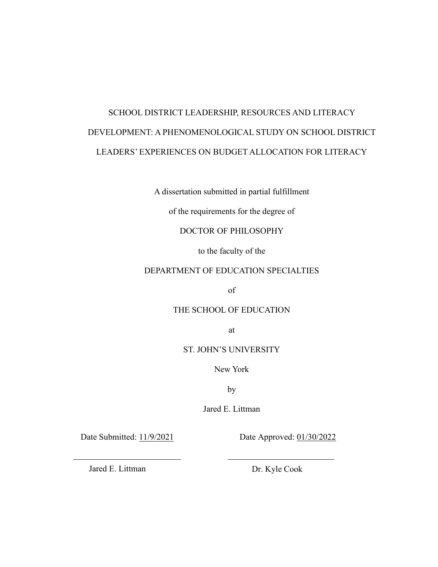# SCHOOL DISTRICT LEADERSHIP, RESOURCES AND LITERACY DEVELOPMENT: A PHENOMENOLOGICAL STUDY ON SCHOOL DISTRICT LEADERS' EXPERIENCES ON BUDGET ALLOCATION FOR LITERACY

A dissertation submitted in partial fulfillment

of the requirements for the degree of

# DOCTOR OF PHILOSOPHY

to the faculty of the

## DEPARTMENT OF EDUCATION SPECIALTIES

of

## THE SCHOOL OF EDUCATION

at

## ST. JOHN'S UNIVERSITY

New York

by

Jared E. Littman

Date Submitted: 11/9/2021 Date Approved: 01/30/2022

Jared E. Littman Dr. Kyle Cook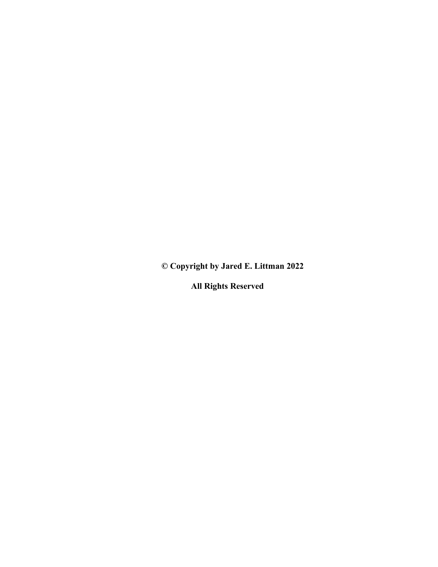**© Copyright by Jared E. Littman 2022** 

**All Rights Reserved**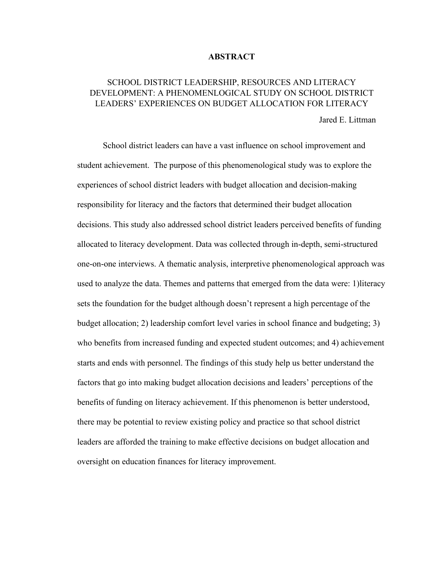#### **ABSTRACT**

# SCHOOL DISTRICT LEADERSHIP, RESOURCES AND LITERACY DEVELOPMENT: A PHENOMENLOGICAL STUDY ON SCHOOL DISTRICT LEADERS' EXPERIENCES ON BUDGET ALLOCATION FOR LITERACY

Jared E. Littman

 School district leaders can have a vast influence on school improvement and student achievement. The purpose of this phenomenological study was to explore the experiences of school district leaders with budget allocation and decision-making responsibility for literacy and the factors that determined their budget allocation decisions. This study also addressed school district leaders perceived benefits of funding allocated to literacy development. Data was collected through in-depth, semi-structured one-on-one interviews. A thematic analysis, interpretive phenomenological approach was used to analyze the data. Themes and patterns that emerged from the data were: 1)literacy sets the foundation for the budget although doesn't represent a high percentage of the budget allocation; 2) leadership comfort level varies in school finance and budgeting; 3) who benefits from increased funding and expected student outcomes; and 4) achievement starts and ends with personnel. The findings of this study help us better understand the factors that go into making budget allocation decisions and leaders' perceptions of the benefits of funding on literacy achievement. If this phenomenon is better understood, there may be potential to review existing policy and practice so that school district leaders are afforded the training to make effective decisions on budget allocation and oversight on education finances for literacy improvement.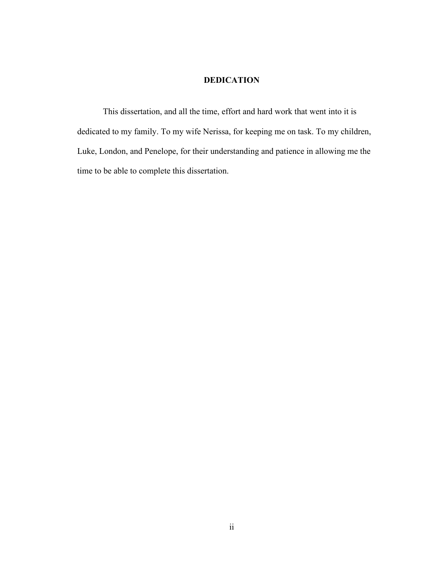# **DEDICATION**

<span id="page-4-0"></span>This dissertation, and all the time, effort and hard work that went into it is dedicated to my family. To my wife Nerissa, for keeping me on task. To my children, Luke, London, and Penelope, for their understanding and patience in allowing me the time to be able to complete this dissertation.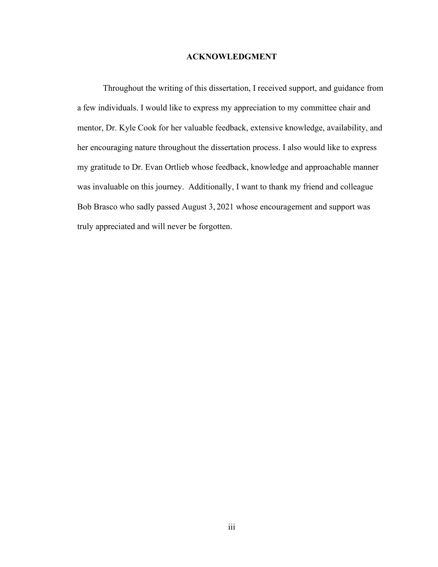# **ACKNOWLEDGMENT**

<span id="page-5-0"></span>Throughout the writing of this dissertation, I received support, and guidance from a few individuals. I would like to express my appreciation to my committee chair and mentor, Dr. Kyle Cook for her valuable feedback, extensive knowledge, availability, and her encouraging nature throughout the dissertation process. I also would like to express my gratitude to Dr. Evan Ortlieb whose feedback, knowledge and approachable manner was invaluable on this journey. Additionally, I want to thank my friend and colleague Bob Brasco who sadly passed August 3, 2021 whose encouragement and support was truly appreciated and will never be forgotten.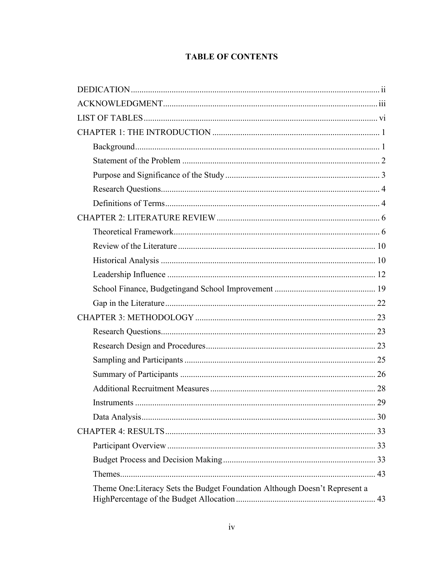# **TABLE OF CONTENTS**

| 29                                                                          |
|-----------------------------------------------------------------------------|
|                                                                             |
|                                                                             |
|                                                                             |
|                                                                             |
|                                                                             |
| Theme One: Literacy Sets the Budget Foundation Although Doesn't Represent a |
|                                                                             |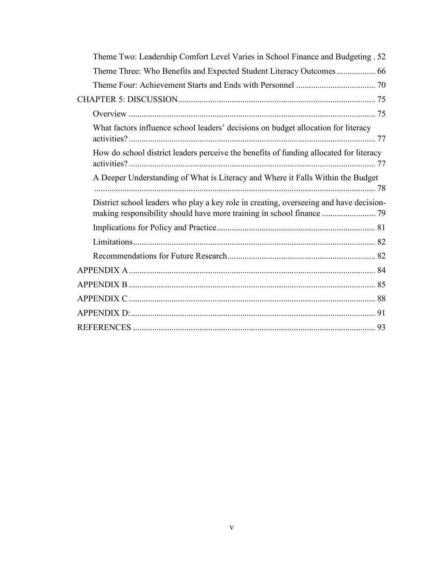| Theme Two: Leadership Comfort Level Varies in School Finance and Budgeting . 52        |
|----------------------------------------------------------------------------------------|
| Theme Three: Who Benefits and Expected Student Literacy Outcomes  66                   |
|                                                                                        |
|                                                                                        |
|                                                                                        |
| What factors influence school leaders' decisions on budget allocation for literacy     |
| How do school district leaders perceive the benefits of funding allocated for literacy |
| A Deeper Understanding of What is Literacy and Where it Falls Within the Budget        |
| District school leaders who play a key role in creating, overseeing and have decision- |
|                                                                                        |
|                                                                                        |
|                                                                                        |
|                                                                                        |
|                                                                                        |
|                                                                                        |
|                                                                                        |
|                                                                                        |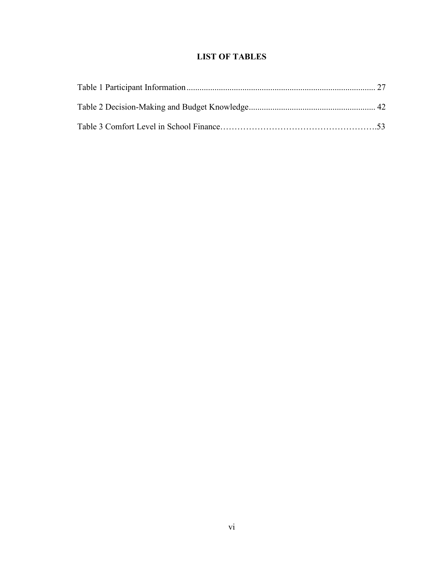# **LIST OF TABLES**

<span id="page-8-0"></span>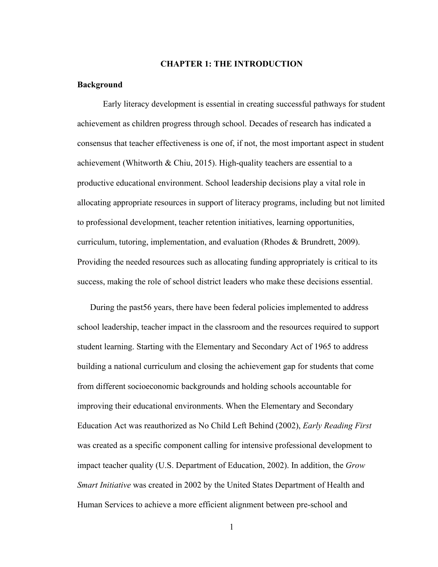## **CHAPTER 1: THE INTRODUCTION**

#### <span id="page-9-1"></span><span id="page-9-0"></span>**Background**

Early literacy development is essential in creating successful pathways for student achievement as children progress through school. Decades of research has indicated a consensus that teacher effectiveness is one of, if not, the most important aspect in student achievement (Whitworth & Chiu, 2015). High-quality teachers are essential to a productive educational environment. School leadership decisions play a vital role in allocating appropriate resources in support of literacy programs, including but not limited to professional development, teacher retention initiatives, learning opportunities, curriculum, tutoring, implementation, and evaluation (Rhodes & Brundrett, 2009). Providing the needed resources such as allocating funding appropriately is critical to its success, making the role of school district leaders who make these decisions essential.

During the past56 years, there have been federal policies implemented to address school leadership, teacher impact in the classroom and the resources required to support student learning. Starting with the Elementary and Secondary Act of 1965 to address building a national curriculum and closing the achievement gap for students that come from different socioeconomic backgrounds and holding schools accountable for improving their educational environments. When the Elementary and Secondary Education Act was reauthorized as No Child Left Behind (2002), *Early Reading First*  was created as a specific component calling for intensive professional development to impact teacher quality (U.S. Department of Education, 2002). In addition, the *Grow Smart Initiative* was created in 2002 by the United States Department of Health and Human Services to achieve a more efficient alignment between pre-school and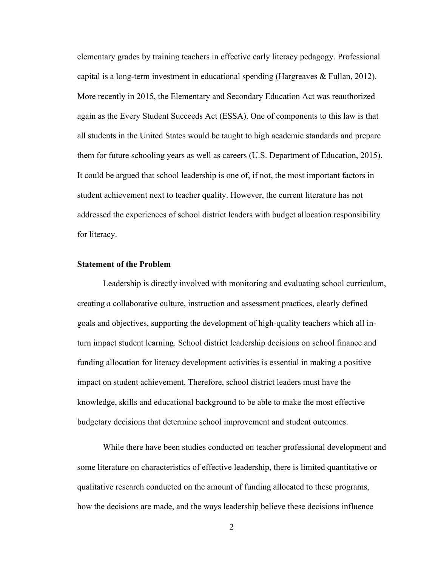elementary grades by training teachers in effective early literacy pedagogy. Professional capital is a long-term investment in educational spending (Hargreaves  $\&$  Fullan, 2012). More recently in 2015, the Elementary and Secondary Education Act was reauthorized again as the Every Student Succeeds Act (ESSA). One of components to this law is that all students in the United States would be taught to high academic standards and prepare them for future schooling years as well as careers (U.S. Department of Education, 2015). It could be argued that school leadership is one of, if not, the most important factors in student achievement next to teacher quality. However, the current literature has not addressed the experiences of school district leaders with budget allocation responsibility for literacy.

# <span id="page-10-0"></span>**Statement of the Problem**

Leadership is directly involved with monitoring and evaluating school curriculum, creating a collaborative culture, instruction and assessment practices, clearly defined goals and objectives, supporting the development of high-quality teachers which all inturn impact student learning. School district leadership decisions on school finance and funding allocation for literacy development activities is essential in making a positive impact on student achievement. Therefore, school district leaders must have the knowledge, skills and educational background to be able to make the most effective budgetary decisions that determine school improvement and student outcomes.

 While there have been studies conducted on teacher professional development and some literature on characteristics of effective leadership, there is limited quantitative or qualitative research conducted on the amount of funding allocated to these programs, how the decisions are made, and the ways leadership believe these decisions influence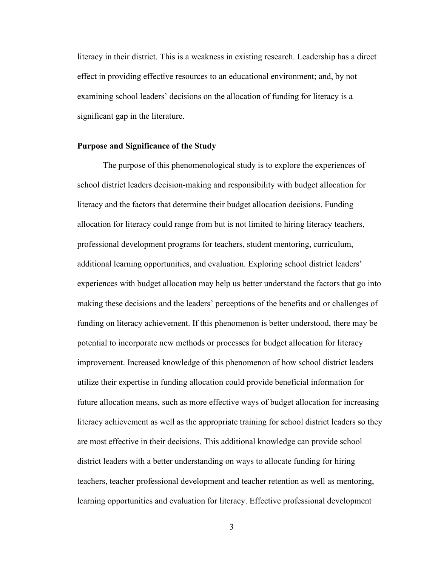literacy in their district. This is a weakness in existing research. Leadership has a direct effect in providing effective resources to an educational environment; and, by not examining school leaders' decisions on the allocation of funding for literacy is a significant gap in the literature.

#### <span id="page-11-0"></span>**Purpose and Significance of the Study**

The purpose of this phenomenological study is to explore the experiences of school district leaders decision-making and responsibility with budget allocation for literacy and the factors that determine their budget allocation decisions. Funding allocation for literacy could range from but is not limited to hiring literacy teachers, professional development programs for teachers, student mentoring, curriculum, additional learning opportunities, and evaluation. Exploring school district leaders' experiences with budget allocation may help us better understand the factors that go into making these decisions and the leaders' perceptions of the benefits and or challenges of funding on literacy achievement. If this phenomenon is better understood, there may be potential to incorporate new methods or processes for budget allocation for literacy improvement. Increased knowledge of this phenomenon of how school district leaders utilize their expertise in funding allocation could provide beneficial information for future allocation means, such as more effective ways of budget allocation for increasing literacy achievement as well as the appropriate training for school district leaders so they are most effective in their decisions. This additional knowledge can provide school district leaders with a better understanding on ways to allocate funding for hiring teachers, teacher professional development and teacher retention as well as mentoring, learning opportunities and evaluation for literacy. Effective professional development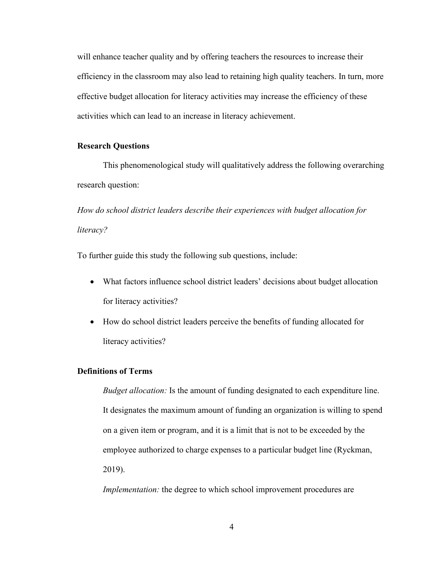will enhance teacher quality and by offering teachers the resources to increase their efficiency in the classroom may also lead to retaining high quality teachers. In turn, more effective budget allocation for literacy activities may increase the efficiency of these activities which can lead to an increase in literacy achievement.

### <span id="page-12-0"></span>**Research Questions**

This phenomenological study will qualitatively address the following overarching research question:

*How do school district leaders describe their experiences with budget allocation for literacy?*

To further guide this study the following sub questions, include:

- What factors influence school district leaders' decisions about budget allocation for literacy activities?
- How do school district leaders perceive the benefits of funding allocated for literacy activities?

## <span id="page-12-1"></span>**Definitions of Terms**

*Budget allocation:* Is the amount of funding designated to each expenditure line. It designates the maximum amount of funding an organization is willing to spend on a given item or program, and it is a limit that is not to be exceeded by the employee authorized to charge expenses to a particular budget line (Ryckman, 2019).

*Implementation:* the degree to which school improvement procedures are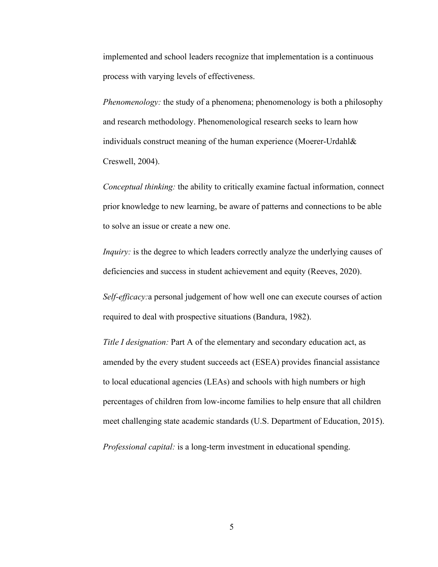implemented and school leaders recognize that implementation is a continuous process with varying levels of effectiveness.

*Phenomenology:* the study of a phenomena; phenomenology is both a philosophy and research methodology. Phenomenological research seeks to learn how individuals construct meaning of the human experience (Moerer-Urdahl& Creswell, 2004).

*Conceptual thinking:* the ability to critically examine factual information, connect prior knowledge to new learning, be aware of patterns and connections to be able to solve an issue or create a new one.

*Inquiry*: is the degree to which leaders correctly analyze the underlying causes of deficiencies and success in student achievement and equity (Reeves, 2020).

*Self-efficacy:*a personal judgement of how well one can execute courses of action required to deal with prospective situations (Bandura, 1982).

*Title I designation:* Part A of the elementary and secondary education act, as amended by the every student succeeds act (ESEA) provides financial assistance to local educational agencies (LEAs) and schools with high numbers or high percentages of children from low-income families to help ensure that all children meet challenging state academic standards (U.S. Department of Education, 2015).

*Professional capital:* is a long-term investment in educational spending.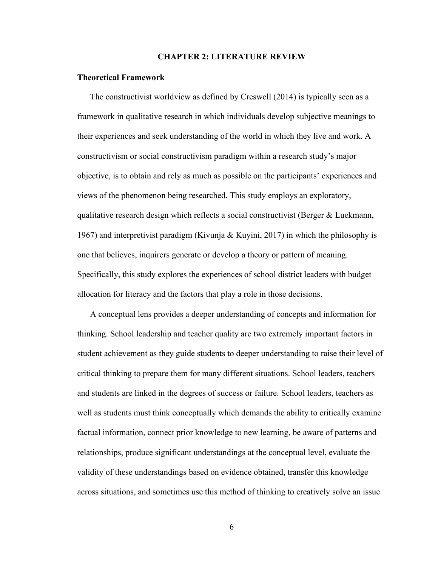#### **CHAPTER 2: LITERATURE REVIEW**

#### <span id="page-14-1"></span><span id="page-14-0"></span>**Theoretical Framework**

The constructivist worldview as defined by Creswell (2014) is typically seen as a framework in qualitative research in which individuals develop subjective meanings to their experiences and seek understanding of the world in which they live and work. A constructivism or social constructivism paradigm within a research study's major objective, is to obtain and rely as much as possible on the participants' experiences and views of the phenomenon being researched. This study employs an exploratory, qualitative research design which reflects a social constructivist (Berger & Luekmann, 1967) and interpretivist paradigm (Kivunja & Kuyini, 2017) in which the philosophy is one that believes, inquirers generate or develop a theory or pattern of meaning. Specifically, this study explores the experiences of school district leaders with budget allocation for literacy and the factors that play a role in those decisions.

A conceptual lens provides a deeper understanding of concepts and information for thinking. School leadership and teacher quality are two extremely important factors in student achievement as they guide students to deeper understanding to raise their level of critical thinking to prepare them for many different situations. School leaders, teachers and students are linked in the degrees of success or failure. School leaders, teachers as well as students must think conceptually which demands the ability to critically examine factual information, connect prior knowledge to new learning, be aware of patterns and relationships, produce significant understandings at the conceptual level, evaluate the validity of these understandings based on evidence obtained, transfer this knowledge across situations, and sometimes use this method of thinking to creatively solve an issue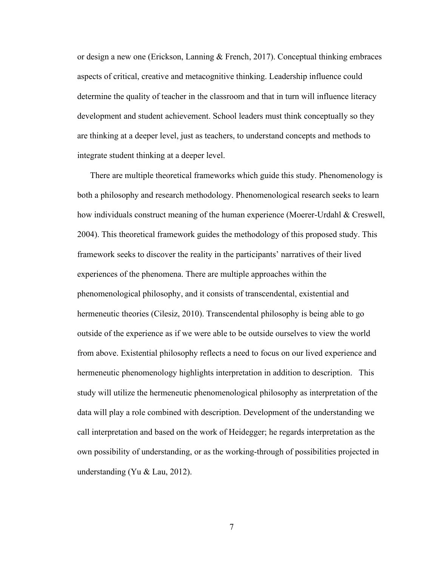or design a new one (Erickson, Lanning & French, 2017). Conceptual thinking embraces aspects of critical, creative and metacognitive thinking. Leadership influence could determine the quality of teacher in the classroom and that in turn will influence literacy development and student achievement. School leaders must think conceptually so they are thinking at a deeper level, just as teachers, to understand concepts and methods to integrate student thinking at a deeper level.

There are multiple theoretical frameworks which guide this study. Phenomenology is both a philosophy and research methodology. Phenomenological research seeks to learn how individuals construct meaning of the human experience (Moerer-Urdahl & Creswell, 2004). This theoretical framework guides the methodology of this proposed study. This framework seeks to discover the reality in the participants' narratives of their lived experiences of the phenomena. There are multiple approaches within the phenomenological philosophy, and it consists of transcendental, existential and hermeneutic theories (Cilesiz, 2010). Transcendental philosophy is being able to go outside of the experience as if we were able to be outside ourselves to view the world from above. Existential philosophy reflects a need to focus on our lived experience and hermeneutic phenomenology highlights interpretation in addition to description. This study will utilize the hermeneutic phenomenological philosophy as interpretation of the data will play a role combined with description. Development of the understanding we call interpretation and based on the work of Heidegger; he regards interpretation as the own possibility of understanding, or as the working-through of possibilities projected in understanding (Yu & Lau, 2012).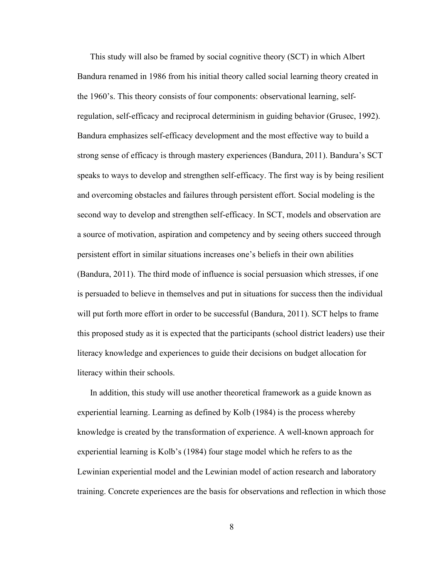This study will also be framed by social cognitive theory (SCT) in which Albert Bandura renamed in 1986 from his initial theory called social learning theory created in the 1960's. This theory consists of four components: observational learning, selfregulation, self-efficacy and reciprocal determinism in guiding behavior (Grusec, 1992). Bandura emphasizes self-efficacy development and the most effective way to build a strong sense of efficacy is through mastery experiences (Bandura, 2011). Bandura's SCT speaks to ways to develop and strengthen self-efficacy. The first way is by being resilient and overcoming obstacles and failures through persistent effort. Social modeling is the second way to develop and strengthen self-efficacy. In SCT, models and observation are a source of motivation, aspiration and competency and by seeing others succeed through persistent effort in similar situations increases one's beliefs in their own abilities (Bandura, 2011). The third mode of influence is social persuasion which stresses, if one is persuaded to believe in themselves and put in situations for success then the individual will put forth more effort in order to be successful (Bandura, 2011). SCT helps to frame this proposed study as it is expected that the participants (school district leaders) use their literacy knowledge and experiences to guide their decisions on budget allocation for literacy within their schools.

In addition, this study will use another theoretical framework as a guide known as experiential learning. Learning as defined by Kolb (1984) is the process whereby knowledge is created by the transformation of experience. A well-known approach for experiential learning is Kolb's (1984) four stage model which he refers to as the Lewinian experiential model and the Lewinian model of action research and laboratory training. Concrete experiences are the basis for observations and reflection in which those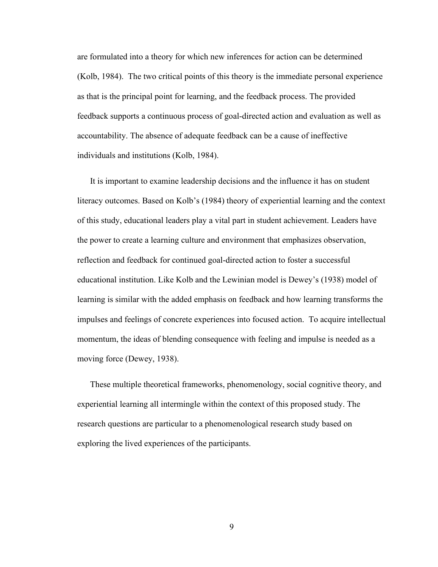are formulated into a theory for which new inferences for action can be determined (Kolb, 1984). The two critical points of this theory is the immediate personal experience as that is the principal point for learning, and the feedback process. The provided feedback supports a continuous process of goal-directed action and evaluation as well as accountability. The absence of adequate feedback can be a cause of ineffective individuals and institutions (Kolb, 1984).

It is important to examine leadership decisions and the influence it has on student literacy outcomes. Based on Kolb's (1984) theory of experiential learning and the context of this study, educational leaders play a vital part in student achievement. Leaders have the power to create a learning culture and environment that emphasizes observation, reflection and feedback for continued goal-directed action to foster a successful educational institution. Like Kolb and the Lewinian model is Dewey's (1938) model of learning is similar with the added emphasis on feedback and how learning transforms the impulses and feelings of concrete experiences into focused action. To acquire intellectual momentum, the ideas of blending consequence with feeling and impulse is needed as a moving force (Dewey, 1938).

These multiple theoretical frameworks, phenomenology, social cognitive theory, and experiential learning all intermingle within the context of this proposed study. The research questions are particular to a phenomenological research study based on exploring the lived experiences of the participants.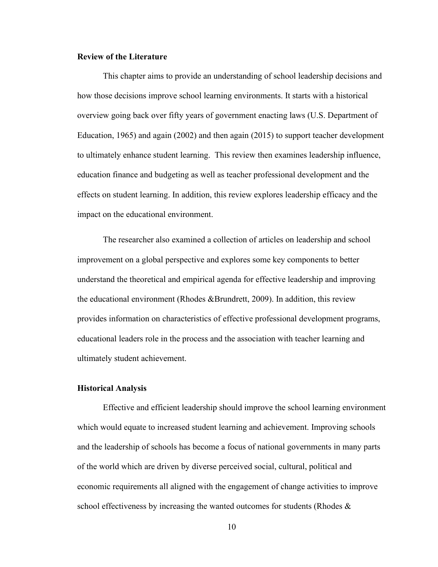## <span id="page-18-0"></span>**Review of the Literature**

This chapter aims to provide an understanding of school leadership decisions and how those decisions improve school learning environments. It starts with a historical overview going back over fifty years of government enacting laws (U.S. Department of Education, 1965) and again (2002) and then again (2015) to support teacher development to ultimately enhance student learning. This review then examines leadership influence, education finance and budgeting as well as teacher professional development and the effects on student learning. In addition, this review explores leadership efficacy and the impact on the educational environment.

The researcher also examined a collection of articles on leadership and school improvement on a global perspective and explores some key components to better understand the theoretical and empirical agenda for effective leadership and improving the educational environment (Rhodes &Brundrett, 2009). In addition, this review provides information on characteristics of effective professional development programs, educational leaders role in the process and the association with teacher learning and ultimately student achievement.

#### <span id="page-18-1"></span>**Historical Analysis**

Effective and efficient leadership should improve the school learning environment which would equate to increased student learning and achievement. Improving schools and the leadership of schools has become a focus of national governments in many parts of the world which are driven by diverse perceived social, cultural, political and economic requirements all aligned with the engagement of change activities to improve school effectiveness by increasing the wanted outcomes for students (Rhodes  $\&$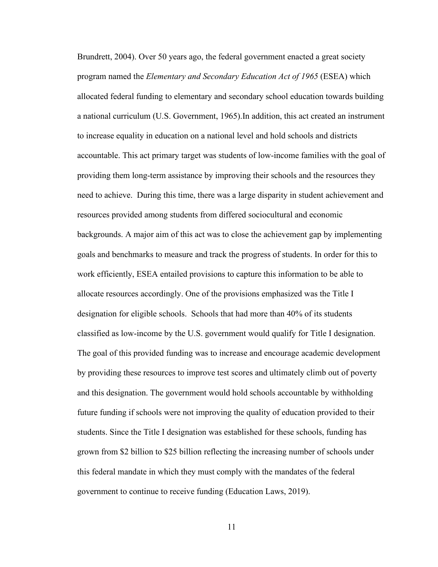Brundrett, 2004). Over 50 years ago, the federal government enacted a great society program named the *Elementary and Secondary Education Act of 1965* (ESEA) which allocated federal funding to elementary and secondary school education towards building a national curriculum (U.S. Government, 1965).In addition, this act created an instrument to increase equality in education on a national level and hold schools and districts accountable. This act primary target was students of low-income families with the goal of providing them long-term assistance by improving their schools and the resources they need to achieve. During this time, there was a large disparity in student achievement and resources provided among students from differed sociocultural and economic backgrounds. A major aim of this act was to close the achievement gap by implementing goals and benchmarks to measure and track the progress of students. In order for this to work efficiently, ESEA entailed provisions to capture this information to be able to allocate resources accordingly. One of the provisions emphasized was the Title I designation for eligible schools. Schools that had more than 40% of its students classified as low-income by the U.S. government would qualify for Title I designation. The goal of this provided funding was to increase and encourage academic development by providing these resources to improve test scores and ultimately climb out of poverty and this designation. The government would hold schools accountable by withholding future funding if schools were not improving the quality of education provided to their students. Since the Title I designation was established for these schools, funding has grown from \$2 billion to \$25 billion reflecting the increasing number of schools under this federal mandate in which they must comply with the mandates of the federal government to continue to receive funding (Education Laws, 2019).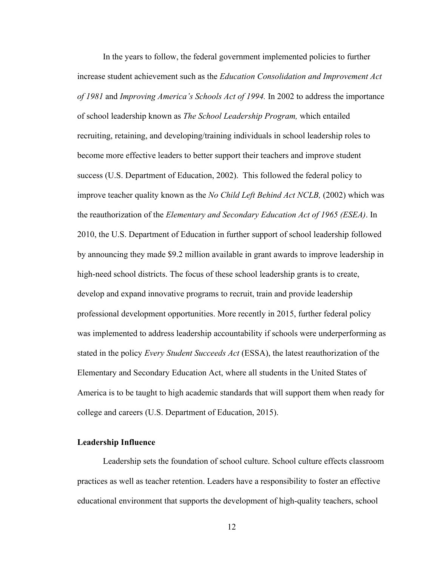In the years to follow, the federal government implemented policies to further increase student achievement such as the *Education Consolidation and Improvement Act of 1981* and *Improving America's Schools Act of 1994.* In 2002 to address the importance of school leadership known as *The School Leadership Program,* which entailed recruiting, retaining, and developing/training individuals in school leadership roles to become more effective leaders to better support their teachers and improve student success (U.S. Department of Education, 2002). This followed the federal policy to improve teacher quality known as the *No Child Left Behind Act NCLB,* (2002) which was the reauthorization of the *Elementary and Secondary Education Act of 1965 (ESEA)*. In 2010, the U.S. Department of Education in further support of school leadership followed by announcing they made \$9.2 million available in grant awards to improve leadership in high-need school districts. The focus of these school leadership grants is to create, develop and expand innovative programs to recruit, train and provide leadership professional development opportunities. More recently in 2015, further federal policy was implemented to address leadership accountability if schools were underperforming as stated in the policy *Every Student Succeeds Act* (ESSA), the latest reauthorization of the Elementary and Secondary Education Act, where all students in the United States of America is to be taught to high academic standards that will support them when ready for college and careers (U.S. Department of Education, 2015).

### <span id="page-20-0"></span>**Leadership Influence**

 Leadership sets the foundation of school culture. School culture effects classroom practices as well as teacher retention. Leaders have a responsibility to foster an effective educational environment that supports the development of high-quality teachers, school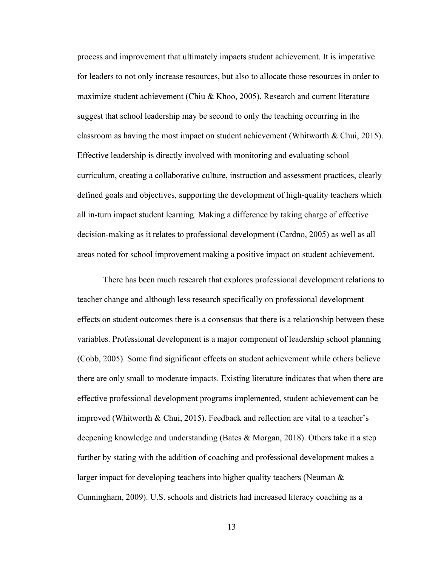process and improvement that ultimately impacts student achievement. It is imperative for leaders to not only increase resources, but also to allocate those resources in order to maximize student achievement (Chiu & Khoo, 2005). Research and current literature suggest that school leadership may be second to only the teaching occurring in the classroom as having the most impact on student achievement (Whitworth & Chui, 2015). Effective leadership is directly involved with monitoring and evaluating school curriculum, creating a collaborative culture, instruction and assessment practices, clearly defined goals and objectives, supporting the development of high-quality teachers which all in-turn impact student learning. Making a difference by taking charge of effective decision-making as it relates to professional development (Cardno, 2005) as well as all areas noted for school improvement making a positive impact on student achievement.

There has been much research that explores professional development relations to teacher change and although less research specifically on professional development effects on student outcomes there is a consensus that there is a relationship between these variables. Professional development is a major component of leadership school planning (Cobb, 2005). Some find significant effects on student achievement while others believe there are only small to moderate impacts. Existing literature indicates that when there are effective professional development programs implemented, student achievement can be improved (Whitworth & Chui, 2015). Feedback and reflection are vital to a teacher's deepening knowledge and understanding (Bates & Morgan, 2018). Others take it a step further by stating with the addition of coaching and professional development makes a larger impact for developing teachers into higher quality teachers (Neuman & Cunningham, 2009). U.S. schools and districts had increased literacy coaching as a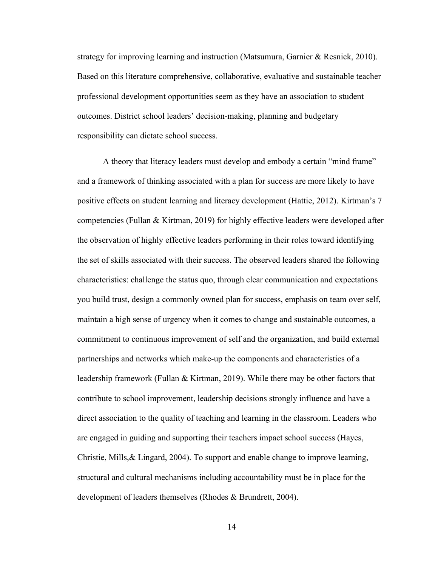strategy for improving learning and instruction (Matsumura, Garnier & Resnick, 2010). Based on this literature comprehensive, collaborative, evaluative and sustainable teacher professional development opportunities seem as they have an association to student outcomes. District school leaders' decision-making, planning and budgetary responsibility can dictate school success.

A theory that literacy leaders must develop and embody a certain "mind frame" and a framework of thinking associated with a plan for success are more likely to have positive effects on student learning and literacy development (Hattie, 2012). Kirtman's 7 competencies (Fullan & Kirtman, 2019) for highly effective leaders were developed after the observation of highly effective leaders performing in their roles toward identifying the set of skills associated with their success. The observed leaders shared the following characteristics: challenge the status quo, through clear communication and expectations you build trust, design a commonly owned plan for success, emphasis on team over self, maintain a high sense of urgency when it comes to change and sustainable outcomes, a commitment to continuous improvement of self and the organization, and build external partnerships and networks which make-up the components and characteristics of a leadership framework (Fullan & Kirtman, 2019). While there may be other factors that contribute to school improvement, leadership decisions strongly influence and have a direct association to the quality of teaching and learning in the classroom. Leaders who are engaged in guiding and supporting their teachers impact school success (Hayes, Christie, Mills,& Lingard, 2004). To support and enable change to improve learning, structural and cultural mechanisms including accountability must be in place for the development of leaders themselves (Rhodes & Brundrett, 2004).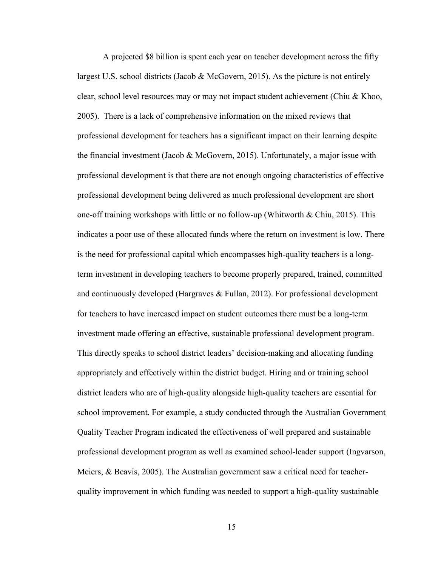A projected \$8 billion is spent each year on teacher development across the fifty largest U.S. school districts (Jacob & McGovern, 2015). As the picture is not entirely clear, school level resources may or may not impact student achievement (Chiu & Khoo, 2005). There is a lack of comprehensive information on the mixed reviews that professional development for teachers has a significant impact on their learning despite the financial investment (Jacob & McGovern, 2015). Unfortunately, a major issue with professional development is that there are not enough ongoing characteristics of effective professional development being delivered as much professional development are short one-off training workshops with little or no follow-up (Whitworth  $\&$  Chiu, 2015). This indicates a poor use of these allocated funds where the return on investment is low. There is the need for professional capital which encompasses high-quality teachers is a longterm investment in developing teachers to become properly prepared, trained, committed and continuously developed (Hargraves & Fullan, 2012). For professional development for teachers to have increased impact on student outcomes there must be a long-term investment made offering an effective, sustainable professional development program. This directly speaks to school district leaders' decision-making and allocating funding appropriately and effectively within the district budget. Hiring and or training school district leaders who are of high-quality alongside high-quality teachers are essential for school improvement. For example, a study conducted through the Australian Government Quality Teacher Program indicated the effectiveness of well prepared and sustainable professional development program as well as examined school-leader support (Ingvarson, Meiers,  $\&$  Beavis, 2005). The Australian government saw a critical need for teacherquality improvement in which funding was needed to support a high-quality sustainable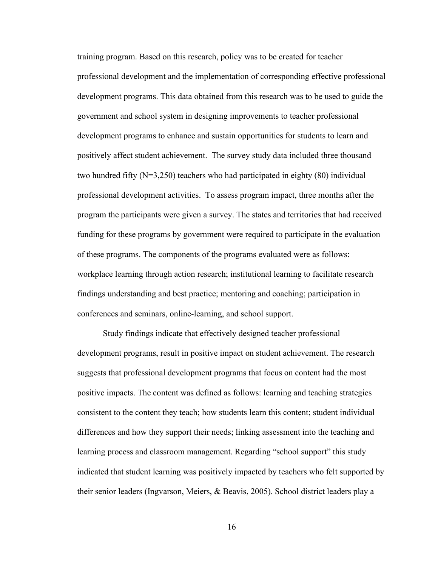training program. Based on this research, policy was to be created for teacher professional development and the implementation of corresponding effective professional development programs. This data obtained from this research was to be used to guide the government and school system in designing improvements to teacher professional development programs to enhance and sustain opportunities for students to learn and positively affect student achievement. The survey study data included three thousand two hundred fifty  $(N=3,250)$  teachers who had participated in eighty (80) individual professional development activities. To assess program impact, three months after the program the participants were given a survey. The states and territories that had received funding for these programs by government were required to participate in the evaluation of these programs. The components of the programs evaluated were as follows: workplace learning through action research; institutional learning to facilitate research findings understanding and best practice; mentoring and coaching; participation in conferences and seminars, online-learning, and school support.

Study findings indicate that effectively designed teacher professional development programs, result in positive impact on student achievement. The research suggests that professional development programs that focus on content had the most positive impacts. The content was defined as follows: learning and teaching strategies consistent to the content they teach; how students learn this content; student individual differences and how they support their needs; linking assessment into the teaching and learning process and classroom management. Regarding "school support" this study indicated that student learning was positively impacted by teachers who felt supported by their senior leaders (Ingvarson, Meiers, & Beavis, 2005). School district leaders play a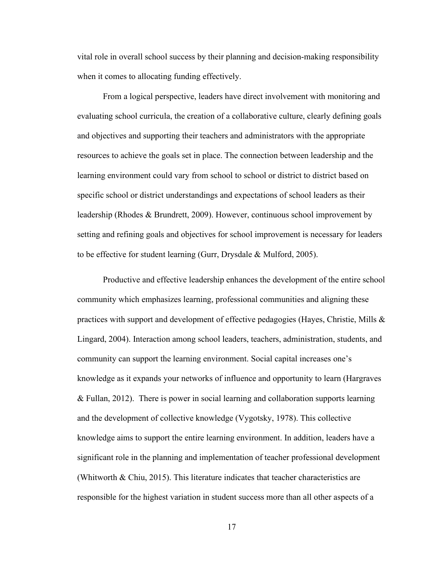vital role in overall school success by their planning and decision-making responsibility when it comes to allocating funding effectively.

 From a logical perspective, leaders have direct involvement with monitoring and evaluating school curricula, the creation of a collaborative culture, clearly defining goals and objectives and supporting their teachers and administrators with the appropriate resources to achieve the goals set in place. The connection between leadership and the learning environment could vary from school to school or district to district based on specific school or district understandings and expectations of school leaders as their leadership (Rhodes & Brundrett, 2009). However, continuous school improvement by setting and refining goals and objectives for school improvement is necessary for leaders to be effective for student learning (Gurr, Drysdale & Mulford, 2005).

Productive and effective leadership enhances the development of the entire school community which emphasizes learning, professional communities and aligning these practices with support and development of effective pedagogies (Hayes, Christie, Mills  $\&$ Lingard, 2004). Interaction among school leaders, teachers, administration, students, and community can support the learning environment. Social capital increases one's knowledge as it expands your networks of influence and opportunity to learn (Hargraves & Fullan, 2012). There is power in social learning and collaboration supports learning and the development of collective knowledge (Vygotsky, 1978). This collective knowledge aims to support the entire learning environment. In addition, leaders have a significant role in the planning and implementation of teacher professional development (Whitworth & Chiu, 2015). This literature indicates that teacher characteristics are responsible for the highest variation in student success more than all other aspects of a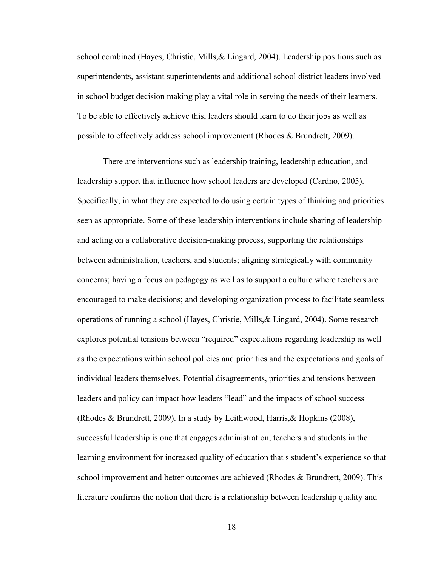school combined (Hayes, Christie, Mills,& Lingard, 2004). Leadership positions such as superintendents, assistant superintendents and additional school district leaders involved in school budget decision making play a vital role in serving the needs of their learners. To be able to effectively achieve this, leaders should learn to do their jobs as well as possible to effectively address school improvement (Rhodes & Brundrett, 2009).

There are interventions such as leadership training, leadership education, and leadership support that influence how school leaders are developed (Cardno, 2005). Specifically, in what they are expected to do using certain types of thinking and priorities seen as appropriate. Some of these leadership interventions include sharing of leadership and acting on a collaborative decision-making process, supporting the relationships between administration, teachers, and students; aligning strategically with community concerns; having a focus on pedagogy as well as to support a culture where teachers are encouraged to make decisions; and developing organization process to facilitate seamless operations of running a school (Hayes, Christie, Mills,& Lingard, 2004). Some research explores potential tensions between "required" expectations regarding leadership as well as the expectations within school policies and priorities and the expectations and goals of individual leaders themselves. Potential disagreements, priorities and tensions between leaders and policy can impact how leaders "lead" and the impacts of school success (Rhodes & Brundrett, 2009). In a study by Leithwood, Harris,& Hopkins (2008), successful leadership is one that engages administration, teachers and students in the learning environment for increased quality of education that s student's experience so that school improvement and better outcomes are achieved (Rhodes & Brundrett, 2009). This literature confirms the notion that there is a relationship between leadership quality and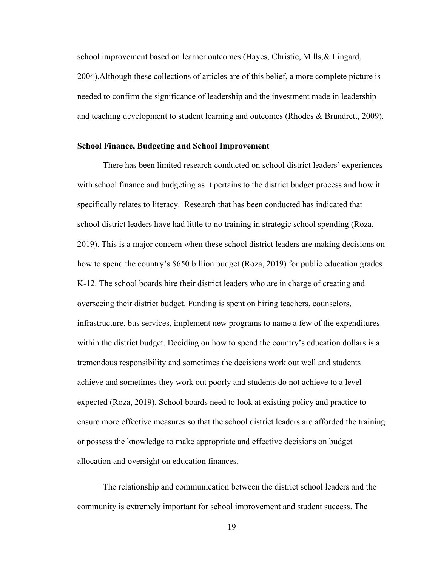school improvement based on learner outcomes (Hayes, Christie, Mills,& Lingard, 2004).Although these collections of articles are of this belief, a more complete picture is needed to confirm the significance of leadership and the investment made in leadership and teaching development to student learning and outcomes (Rhodes & Brundrett, 2009).

#### <span id="page-27-0"></span>**School Finance, Budgeting and School Improvement**

There has been limited research conducted on school district leaders' experiences with school finance and budgeting as it pertains to the district budget process and how it specifically relates to literacy. Research that has been conducted has indicated that school district leaders have had little to no training in strategic school spending (Roza, 2019). This is a major concern when these school district leaders are making decisions on how to spend the country's \$650 billion budget (Roza, 2019) for public education grades K-12. The school boards hire their district leaders who are in charge of creating and overseeing their district budget. Funding is spent on hiring teachers, counselors, infrastructure, bus services, implement new programs to name a few of the expenditures within the district budget. Deciding on how to spend the country's education dollars is a tremendous responsibility and sometimes the decisions work out well and students achieve and sometimes they work out poorly and students do not achieve to a level expected (Roza, 2019). School boards need to look at existing policy and practice to ensure more effective measures so that the school district leaders are afforded the training or possess the knowledge to make appropriate and effective decisions on budget allocation and oversight on education finances.

 The relationship and communication between the district school leaders and the community is extremely important for school improvement and student success. The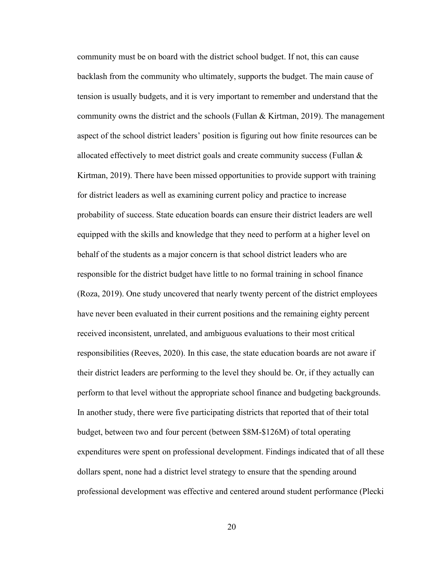community must be on board with the district school budget. If not, this can cause backlash from the community who ultimately, supports the budget. The main cause of tension is usually budgets, and it is very important to remember and understand that the community owns the district and the schools (Fullan  $& Kirt$ man, 2019). The management aspect of the school district leaders' position is figuring out how finite resources can be allocated effectively to meet district goals and create community success (Fullan  $\&$ Kirtman, 2019). There have been missed opportunities to provide support with training for district leaders as well as examining current policy and practice to increase probability of success. State education boards can ensure their district leaders are well equipped with the skills and knowledge that they need to perform at a higher level on behalf of the students as a major concern is that school district leaders who are responsible for the district budget have little to no formal training in school finance (Roza, 2019). One study uncovered that nearly twenty percent of the district employees have never been evaluated in their current positions and the remaining eighty percent received inconsistent, unrelated, and ambiguous evaluations to their most critical responsibilities (Reeves, 2020). In this case, the state education boards are not aware if their district leaders are performing to the level they should be. Or, if they actually can perform to that level without the appropriate school finance and budgeting backgrounds. In another study, there were five participating districts that reported that of their total budget, between two and four percent (between \$8M-\$126M) of total operating expenditures were spent on professional development. Findings indicated that of all these dollars spent, none had a district level strategy to ensure that the spending around professional development was effective and centered around student performance (Plecki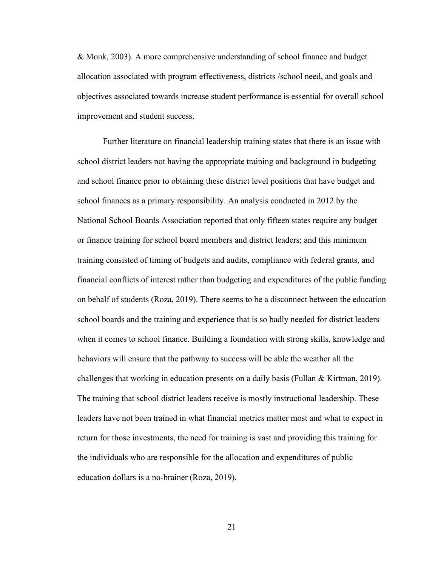& Monk, 2003). A more comprehensive understanding of school finance and budget allocation associated with program effectiveness, districts /school need, and goals and objectives associated towards increase student performance is essential for overall school improvement and student success.

 Further literature on financial leadership training states that there is an issue with school district leaders not having the appropriate training and background in budgeting and school finance prior to obtaining these district level positions that have budget and school finances as a primary responsibility. An analysis conducted in 2012 by the National School Boards Association reported that only fifteen states require any budget or finance training for school board members and district leaders; and this minimum training consisted of timing of budgets and audits, compliance with federal grants, and financial conflicts of interest rather than budgeting and expenditures of the public funding on behalf of students (Roza, 2019). There seems to be a disconnect between the education school boards and the training and experience that is so badly needed for district leaders when it comes to school finance. Building a foundation with strong skills, knowledge and behaviors will ensure that the pathway to success will be able the weather all the challenges that working in education presents on a daily basis (Fullan & Kirtman, 2019). The training that school district leaders receive is mostly instructional leadership. These leaders have not been trained in what financial metrics matter most and what to expect in return for those investments, the need for training is vast and providing this training for the individuals who are responsible for the allocation and expenditures of public education dollars is a no-brainer (Roza, 2019).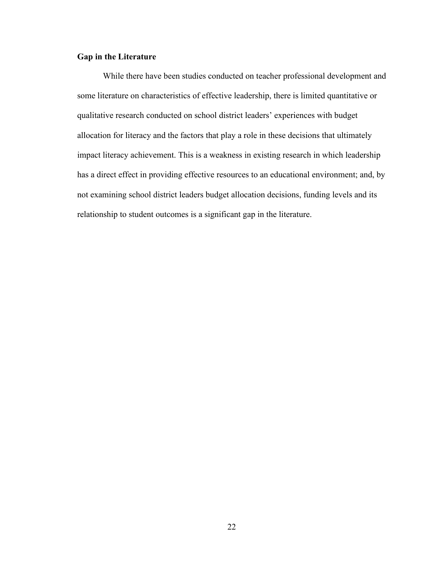# <span id="page-30-0"></span>**Gap in the Literature**

 While there have been studies conducted on teacher professional development and some literature on characteristics of effective leadership, there is limited quantitative or qualitative research conducted on school district leaders' experiences with budget allocation for literacy and the factors that play a role in these decisions that ultimately impact literacy achievement. This is a weakness in existing research in which leadership has a direct effect in providing effective resources to an educational environment; and, by not examining school district leaders budget allocation decisions, funding levels and its relationship to student outcomes is a significant gap in the literature.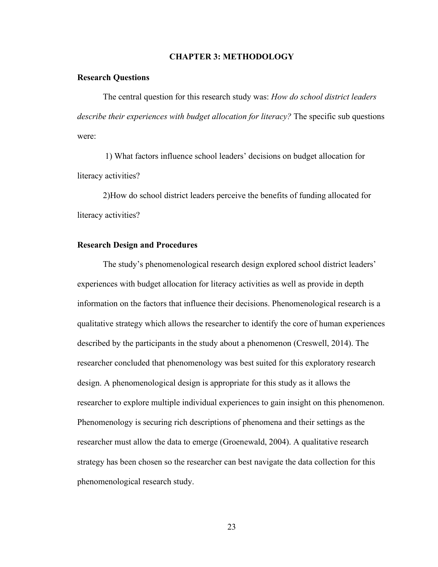#### **CHAPTER 3: METHODOLOGY**

#### <span id="page-31-1"></span><span id="page-31-0"></span>**Research Questions**

The central question for this research study was: *How do school district leaders describe their experiences with budget allocation for literacy?* The specific sub questions were:

 1) What factors influence school leaders' decisions on budget allocation for literacy activities?

2)How do school district leaders perceive the benefits of funding allocated for literacy activities?

### <span id="page-31-2"></span>**Research Design and Procedures**

The study's phenomenological research design explored school district leaders' experiences with budget allocation for literacy activities as well as provide in depth information on the factors that influence their decisions. Phenomenological research is a qualitative strategy which allows the researcher to identify the core of human experiences described by the participants in the study about a phenomenon (Creswell, 2014). The researcher concluded that phenomenology was best suited for this exploratory research design. A phenomenological design is appropriate for this study as it allows the researcher to explore multiple individual experiences to gain insight on this phenomenon. Phenomenology is securing rich descriptions of phenomena and their settings as the researcher must allow the data to emerge (Groenewald, 2004). A qualitative research strategy has been chosen so the researcher can best navigate the data collection for this phenomenological research study.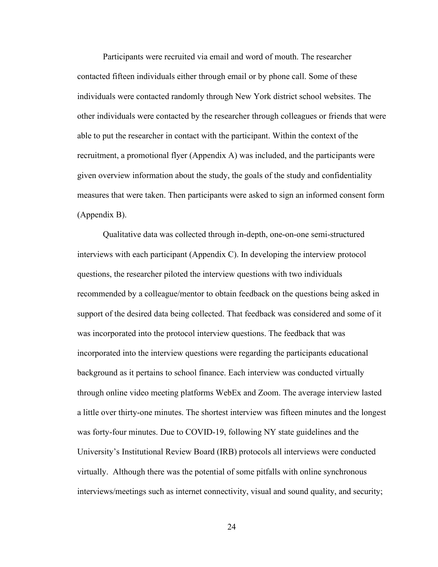Participants were recruited via email and word of mouth. The researcher contacted fifteen individuals either through email or by phone call. Some of these individuals were contacted randomly through New York district school websites. The other individuals were contacted by the researcher through colleagues or friends that were able to put the researcher in contact with the participant. Within the context of the recruitment, a promotional flyer (Appendix A) was included, and the participants were given overview information about the study, the goals of the study and confidentiality measures that were taken. Then participants were asked to sign an informed consent form (Appendix B).

Qualitative data was collected through in-depth, one-on-one semi-structured interviews with each participant (Appendix C). In developing the interview protocol questions, the researcher piloted the interview questions with two individuals recommended by a colleague/mentor to obtain feedback on the questions being asked in support of the desired data being collected. That feedback was considered and some of it was incorporated into the protocol interview questions. The feedback that was incorporated into the interview questions were regarding the participants educational background as it pertains to school finance. Each interview was conducted virtually through online video meeting platforms WebEx and Zoom. The average interview lasted a little over thirty-one minutes. The shortest interview was fifteen minutes and the longest was forty-four minutes. Due to COVID-19, following NY state guidelines and the University's Institutional Review Board (IRB) protocols all interviews were conducted virtually. Although there was the potential of some pitfalls with online synchronous interviews/meetings such as internet connectivity, visual and sound quality, and security;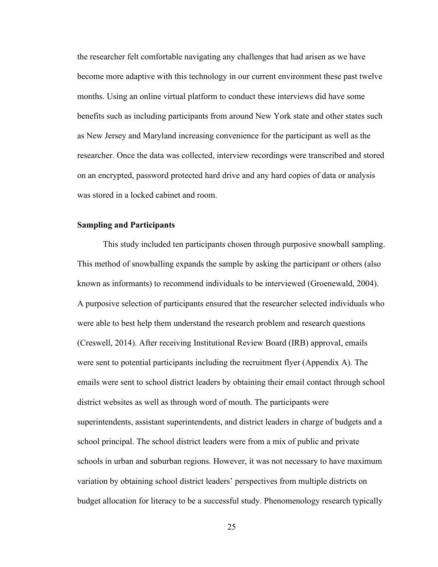the researcher felt comfortable navigating any challenges that had arisen as we have become more adaptive with this technology in our current environment these past twelve months. Using an online virtual platform to conduct these interviews did have some benefits such as including participants from around New York state and other states such as New Jersey and Maryland increasing convenience for the participant as well as the researcher. Once the data was collected, interview recordings were transcribed and stored on an encrypted, password protected hard drive and any hard copies of data or analysis was stored in a locked cabinet and room.

## <span id="page-33-0"></span>**Sampling and Participants**

 This study included ten participants chosen through purposive snowball sampling. This method of snowballing expands the sample by asking the participant or others (also known as informants) to recommend individuals to be interviewed (Groenewald, 2004). A purposive selection of participants ensured that the researcher selected individuals who were able to best help them understand the research problem and research questions (Creswell, 2014). After receiving Institutional Review Board (IRB) approval, emails were sent to potential participants including the recruitment flyer (Appendix A). The emails were sent to school district leaders by obtaining their email contact through school district websites as well as through word of mouth. The participants were superintendents, assistant superintendents, and district leaders in charge of budgets and a school principal. The school district leaders were from a mix of public and private schools in urban and suburban regions. However, it was not necessary to have maximum variation by obtaining school district leaders' perspectives from multiple districts on budget allocation for literacy to be a successful study. Phenomenology research typically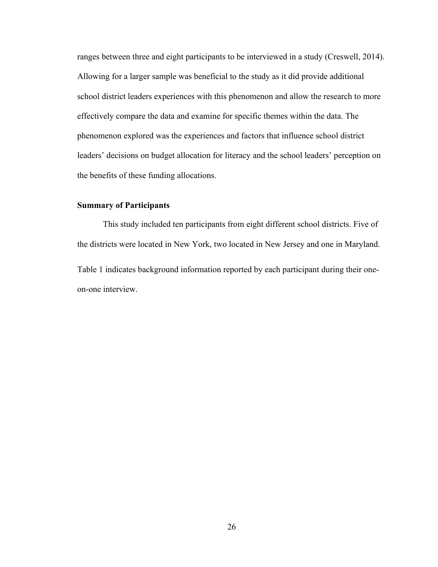ranges between three and eight participants to be interviewed in a study (Creswell, 2014). Allowing for a larger sample was beneficial to the study as it did provide additional school district leaders experiences with this phenomenon and allow the research to more effectively compare the data and examine for specific themes within the data. The phenomenon explored was the experiences and factors that influence school district leaders' decisions on budget allocation for literacy and the school leaders' perception on the benefits of these funding allocations.

# <span id="page-34-0"></span>**Summary of Participants**

This study included ten participants from eight different school districts. Five of the districts were located in New York, two located in New Jersey and one in Maryland. Table 1 indicates background information reported by each participant during their oneon-one interview.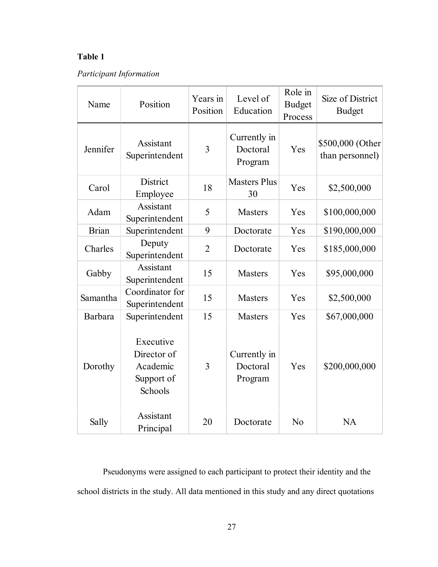# **Table 1**

# *Participant Information*

| Name         | Position                                                      | Years in<br>Position | Level of<br>Education               | Role in<br><b>Budget</b><br>Process | Size of District<br><b>Budget</b>   |
|--------------|---------------------------------------------------------------|----------------------|-------------------------------------|-------------------------------------|-------------------------------------|
| Jennifer     | Assistant<br>Superintendent                                   | 3                    | Currently in<br>Doctoral<br>Program | Yes                                 | \$500,000 (Other<br>than personnel) |
| Carol        | District<br>Employee                                          | 18                   | <b>Masters Plus</b><br>30           | Yes                                 | \$2,500,000                         |
| Adam         | Assistant<br>Superintendent                                   | 5                    | <b>Masters</b>                      | Yes                                 | \$100,000,000                       |
| <b>Brian</b> | Superintendent                                                | 9                    | Doctorate                           | Yes                                 | \$190,000,000                       |
| Charles      | Deputy<br>Superintendent                                      | $\overline{2}$       | Doctorate                           | Yes                                 | \$185,000,000                       |
| Gabby        | Assistant<br>Superintendent                                   | 15                   | <b>Masters</b>                      | Yes                                 | \$95,000,000                        |
| Samantha     | Coordinator for<br>Superintendent                             | 15                   | <b>Masters</b>                      | Yes                                 | \$2,500,000                         |
| Barbara      | Superintendent                                                | 15                   | <b>Masters</b>                      | Yes                                 | \$67,000,000                        |
| Dorothy      | Executive<br>Director of<br>Academic<br>Support of<br>Schools | 3                    | Currently in<br>Doctoral<br>Program | Yes                                 | \$200,000,000                       |
| Sally        | Assistant<br>Principal                                        | 20                   | Doctorate                           | N <sub>o</sub>                      | <b>NA</b>                           |

Pseudonyms were assigned to each participant to protect their identity and the school districts in the study. All data mentioned in this study and any direct quotations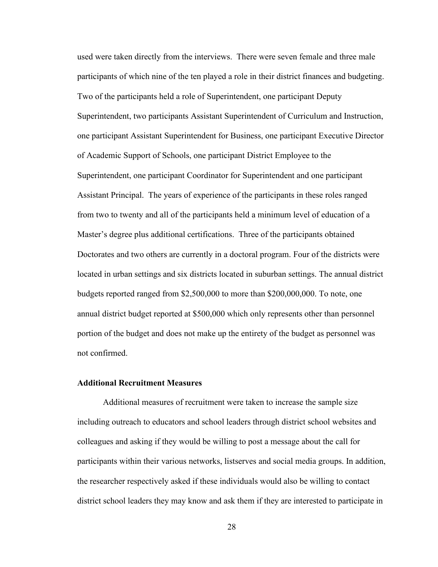used were taken directly from the interviews. There were seven female and three male participants of which nine of the ten played a role in their district finances and budgeting. Two of the participants held a role of Superintendent, one participant Deputy Superintendent, two participants Assistant Superintendent of Curriculum and Instruction, one participant Assistant Superintendent for Business, one participant Executive Director of Academic Support of Schools, one participant District Employee to the Superintendent, one participant Coordinator for Superintendent and one participant Assistant Principal. The years of experience of the participants in these roles ranged from two to twenty and all of the participants held a minimum level of education of a Master's degree plus additional certifications. Three of the participants obtained Doctorates and two others are currently in a doctoral program. Four of the districts were located in urban settings and six districts located in suburban settings. The annual district budgets reported ranged from \$2,500,000 to more than \$200,000,000. To note, one annual district budget reported at \$500,000 which only represents other than personnel portion of the budget and does not make up the entirety of the budget as personnel was not confirmed.

## **Additional Recruitment Measures**

 Additional measures of recruitment were taken to increase the sample size including outreach to educators and school leaders through district school websites and colleagues and asking if they would be willing to post a message about the call for participants within their various networks, listserves and social media groups. In addition, the researcher respectively asked if these individuals would also be willing to contact district school leaders they may know and ask them if they are interested to participate in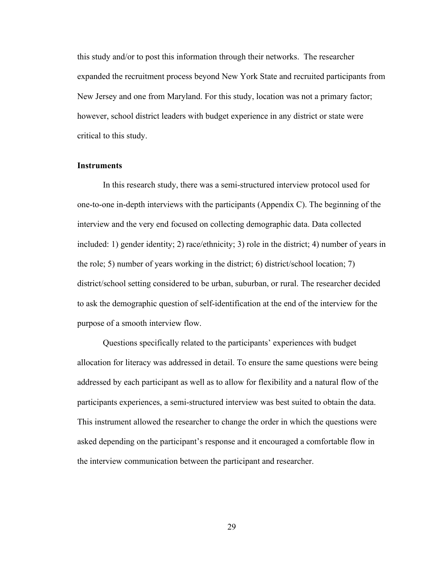this study and/or to post this information through their networks. The researcher expanded the recruitment process beyond New York State and recruited participants from New Jersey and one from Maryland. For this study, location was not a primary factor; however, school district leaders with budget experience in any district or state were critical to this study.

### **Instruments**

In this research study, there was a semi-structured interview protocol used for one-to-one in-depth interviews with the participants (Appendix C). The beginning of the interview and the very end focused on collecting demographic data. Data collected included: 1) gender identity; 2) race/ethnicity; 3) role in the district; 4) number of years in the role; 5) number of years working in the district; 6) district/school location; 7) district/school setting considered to be urban, suburban, or rural. The researcher decided to ask the demographic question of self-identification at the end of the interview for the purpose of a smooth interview flow.

Questions specifically related to the participants' experiences with budget allocation for literacy was addressed in detail. To ensure the same questions were being addressed by each participant as well as to allow for flexibility and a natural flow of the participants experiences, a semi-structured interview was best suited to obtain the data. This instrument allowed the researcher to change the order in which the questions were asked depending on the participant's response and it encouraged a comfortable flow in the interview communication between the participant and researcher.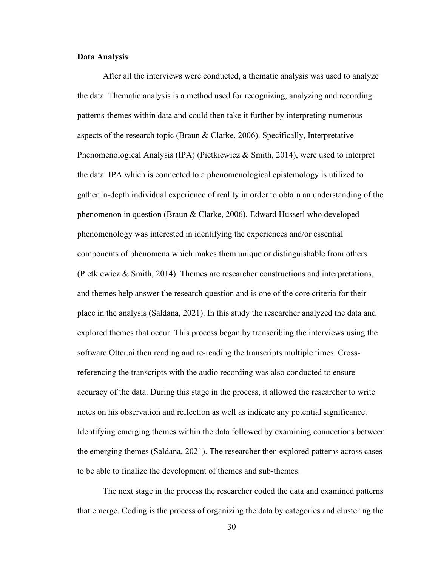### **Data Analysis**

After all the interviews were conducted, a thematic analysis was used to analyze the data. Thematic analysis is a method used for recognizing, analyzing and recording patterns-themes within data and could then take it further by interpreting numerous aspects of the research topic (Braun & Clarke, 2006). Specifically, Interpretative Phenomenological Analysis (IPA) (Pietkiewicz & Smith, 2014), were used to interpret the data. IPA which is connected to a phenomenological epistemology is utilized to gather in-depth individual experience of reality in order to obtain an understanding of the phenomenon in question (Braun & Clarke, 2006). Edward Husserl who developed phenomenology was interested in identifying the experiences and/or essential components of phenomena which makes them unique or distinguishable from others (Pietkiewicz & Smith, 2014). Themes are researcher constructions and interpretations, and themes help answer the research question and is one of the core criteria for their place in the analysis (Saldana, 2021). In this study the researcher analyzed the data and explored themes that occur. This process began by transcribing the interviews using the software Otter.ai then reading and re-reading the transcripts multiple times. Crossreferencing the transcripts with the audio recording was also conducted to ensure accuracy of the data. During this stage in the process, it allowed the researcher to write notes on his observation and reflection as well as indicate any potential significance. Identifying emerging themes within the data followed by examining connections between the emerging themes (Saldana, 2021). The researcher then explored patterns across cases to be able to finalize the development of themes and sub-themes.

The next stage in the process the researcher coded the data and examined patterns that emerge. Coding is the process of organizing the data by categories and clustering the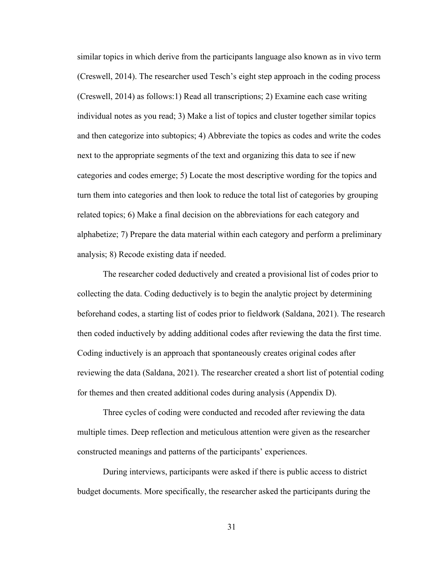similar topics in which derive from the participants language also known as in vivo term (Creswell, 2014). The researcher used Tesch's eight step approach in the coding process (Creswell, 2014) as follows:1) Read all transcriptions; 2) Examine each case writing individual notes as you read; 3) Make a list of topics and cluster together similar topics and then categorize into subtopics; 4) Abbreviate the topics as codes and write the codes next to the appropriate segments of the text and organizing this data to see if new categories and codes emerge; 5) Locate the most descriptive wording for the topics and turn them into categories and then look to reduce the total list of categories by grouping related topics; 6) Make a final decision on the abbreviations for each category and alphabetize; 7) Prepare the data material within each category and perform a preliminary analysis; 8) Recode existing data if needed.

The researcher coded deductively and created a provisional list of codes prior to collecting the data. Coding deductively is to begin the analytic project by determining beforehand codes, a starting list of codes prior to fieldwork (Saldana, 2021). The research then coded inductively by adding additional codes after reviewing the data the first time. Coding inductively is an approach that spontaneously creates original codes after reviewing the data (Saldana, 2021). The researcher created a short list of potential coding for themes and then created additional codes during analysis (Appendix D).

Three cycles of coding were conducted and recoded after reviewing the data multiple times. Deep reflection and meticulous attention were given as the researcher constructed meanings and patterns of the participants' experiences.

During interviews, participants were asked if there is public access to district budget documents. More specifically, the researcher asked the participants during the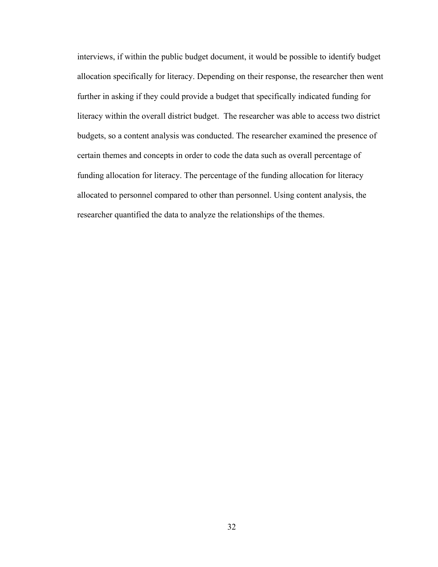interviews, if within the public budget document, it would be possible to identify budget allocation specifically for literacy. Depending on their response, the researcher then went further in asking if they could provide a budget that specifically indicated funding for literacy within the overall district budget. The researcher was able to access two district budgets, so a content analysis was conducted. The researcher examined the presence of certain themes and concepts in order to code the data such as overall percentage of funding allocation for literacy. The percentage of the funding allocation for literacy allocated to personnel compared to other than personnel. Using content analysis, the researcher quantified the data to analyze the relationships of the themes.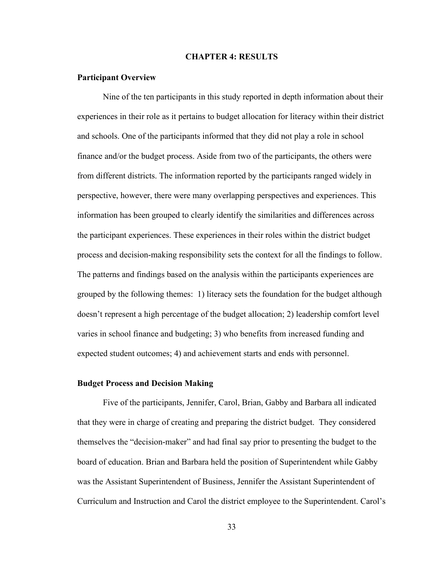#### **CHAPTER 4: RESULTS**

#### **Participant Overview**

 Nine of the ten participants in this study reported in depth information about their experiences in their role as it pertains to budget allocation for literacy within their district and schools. One of the participants informed that they did not play a role in school finance and/or the budget process. Aside from two of the participants, the others were from different districts. The information reported by the participants ranged widely in perspective, however, there were many overlapping perspectives and experiences. This information has been grouped to clearly identify the similarities and differences across the participant experiences. These experiences in their roles within the district budget process and decision-making responsibility sets the context for all the findings to follow. The patterns and findings based on the analysis within the participants experiences are grouped by the following themes: 1) literacy sets the foundation for the budget although doesn't represent a high percentage of the budget allocation; 2) leadership comfort level varies in school finance and budgeting; 3) who benefits from increased funding and expected student outcomes; 4) and achievement starts and ends with personnel.

## **Budget Process and Decision Making**

 Five of the participants, Jennifer, Carol, Brian, Gabby and Barbara all indicated that they were in charge of creating and preparing the district budget. They considered themselves the "decision-maker" and had final say prior to presenting the budget to the board of education. Brian and Barbara held the position of Superintendent while Gabby was the Assistant Superintendent of Business, Jennifer the Assistant Superintendent of Curriculum and Instruction and Carol the district employee to the Superintendent. Carol's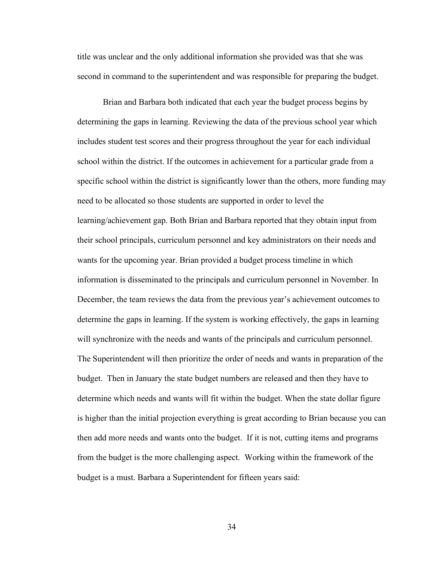title was unclear and the only additional information she provided was that she was second in command to the superintendent and was responsible for preparing the budget.

 Brian and Barbara both indicated that each year the budget process begins by determining the gaps in learning. Reviewing the data of the previous school year which includes student test scores and their progress throughout the year for each individual school within the district. If the outcomes in achievement for a particular grade from a specific school within the district is significantly lower than the others, more funding may need to be allocated so those students are supported in order to level the learning/achievement gap. Both Brian and Barbara reported that they obtain input from their school principals, curriculum personnel and key administrators on their needs and wants for the upcoming year. Brian provided a budget process timeline in which information is disseminated to the principals and curriculum personnel in November. In December, the team reviews the data from the previous year's achievement outcomes to determine the gaps in learning. If the system is working effectively, the gaps in learning will synchronize with the needs and wants of the principals and curriculum personnel. The Superintendent will then prioritize the order of needs and wants in preparation of the budget. Then in January the state budget numbers are released and then they have to determine which needs and wants will fit within the budget. When the state dollar figure is higher than the initial projection everything is great according to Brian because you can then add more needs and wants onto the budget. If it is not, cutting items and programs from the budget is the more challenging aspect. Working within the framework of the budget is a must. Barbara a Superintendent for fifteen years said: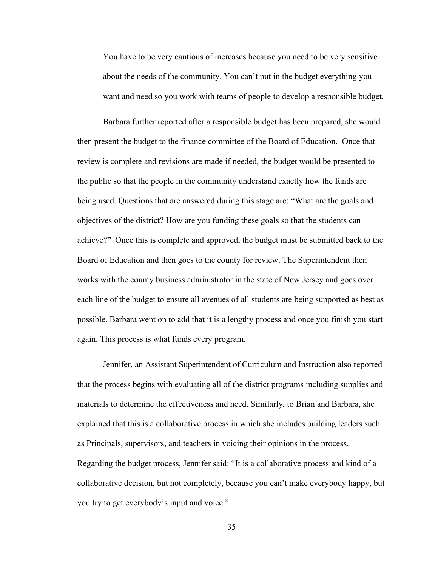You have to be very cautious of increases because you need to be very sensitive about the needs of the community. You can't put in the budget everything you want and need so you work with teams of people to develop a responsible budget.

Barbara further reported after a responsible budget has been prepared, she would then present the budget to the finance committee of the Board of Education. Once that review is complete and revisions are made if needed, the budget would be presented to the public so that the people in the community understand exactly how the funds are being used. Questions that are answered during this stage are: "What are the goals and objectives of the district? How are you funding these goals so that the students can achieve?" Once this is complete and approved, the budget must be submitted back to the Board of Education and then goes to the county for review. The Superintendent then works with the county business administrator in the state of New Jersey and goes over each line of the budget to ensure all avenues of all students are being supported as best as possible. Barbara went on to add that it is a lengthy process and once you finish you start again. This process is what funds every program.

 Jennifer, an Assistant Superintendent of Curriculum and Instruction also reported that the process begins with evaluating all of the district programs including supplies and materials to determine the effectiveness and need. Similarly, to Brian and Barbara, she explained that this is a collaborative process in which she includes building leaders such as Principals, supervisors, and teachers in voicing their opinions in the process. Regarding the budget process, Jennifer said: "It is a collaborative process and kind of a collaborative decision, but not completely, because you can't make everybody happy, but you try to get everybody's input and voice."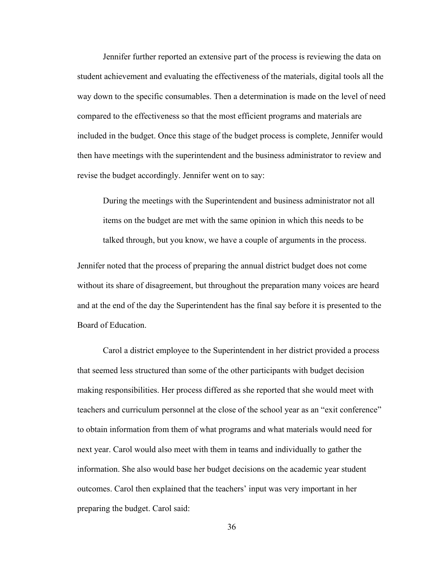Jennifer further reported an extensive part of the process is reviewing the data on student achievement and evaluating the effectiveness of the materials, digital tools all the way down to the specific consumables. Then a determination is made on the level of need compared to the effectiveness so that the most efficient programs and materials are included in the budget. Once this stage of the budget process is complete, Jennifer would then have meetings with the superintendent and the business administrator to review and revise the budget accordingly. Jennifer went on to say:

During the meetings with the Superintendent and business administrator not all items on the budget are met with the same opinion in which this needs to be talked through, but you know, we have a couple of arguments in the process.

Jennifer noted that the process of preparing the annual district budget does not come without its share of disagreement, but throughout the preparation many voices are heard and at the end of the day the Superintendent has the final say before it is presented to the Board of Education.

 Carol a district employee to the Superintendent in her district provided a process that seemed less structured than some of the other participants with budget decision making responsibilities. Her process differed as she reported that she would meet with teachers and curriculum personnel at the close of the school year as an "exit conference" to obtain information from them of what programs and what materials would need for next year. Carol would also meet with them in teams and individually to gather the information. She also would base her budget decisions on the academic year student outcomes. Carol then explained that the teachers' input was very important in her preparing the budget. Carol said: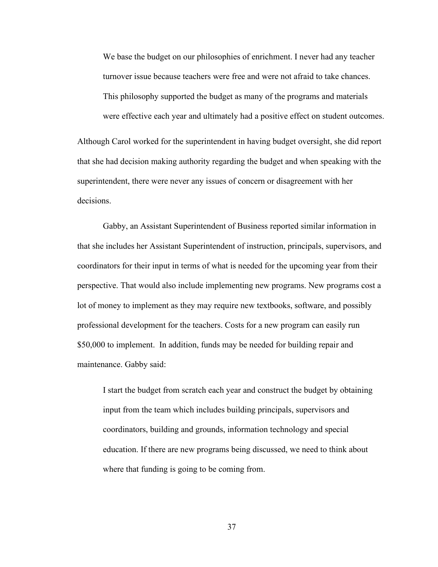We base the budget on our philosophies of enrichment. I never had any teacher turnover issue because teachers were free and were not afraid to take chances. This philosophy supported the budget as many of the programs and materials were effective each year and ultimately had a positive effect on student outcomes.

Although Carol worked for the superintendent in having budget oversight, she did report that she had decision making authority regarding the budget and when speaking with the superintendent, there were never any issues of concern or disagreement with her decisions.

 Gabby, an Assistant Superintendent of Business reported similar information in that she includes her Assistant Superintendent of instruction, principals, supervisors, and coordinators for their input in terms of what is needed for the upcoming year from their perspective. That would also include implementing new programs. New programs cost a lot of money to implement as they may require new textbooks, software, and possibly professional development for the teachers. Costs for a new program can easily run \$50,000 to implement. In addition, funds may be needed for building repair and maintenance. Gabby said:

I start the budget from scratch each year and construct the budget by obtaining input from the team which includes building principals, supervisors and coordinators, building and grounds, information technology and special education. If there are new programs being discussed, we need to think about where that funding is going to be coming from.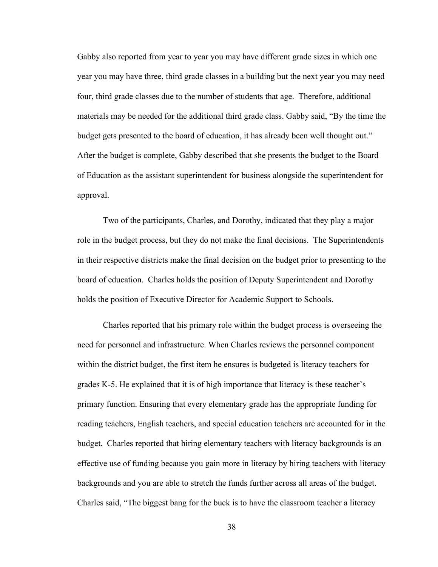Gabby also reported from year to year you may have different grade sizes in which one year you may have three, third grade classes in a building but the next year you may need four, third grade classes due to the number of students that age. Therefore, additional materials may be needed for the additional third grade class. Gabby said, "By the time the budget gets presented to the board of education, it has already been well thought out." After the budget is complete, Gabby described that she presents the budget to the Board of Education as the assistant superintendent for business alongside the superintendent for approval.

 Two of the participants, Charles, and Dorothy, indicated that they play a major role in the budget process, but they do not make the final decisions. The Superintendents in their respective districts make the final decision on the budget prior to presenting to the board of education. Charles holds the position of Deputy Superintendent and Dorothy holds the position of Executive Director for Academic Support to Schools.

 Charles reported that his primary role within the budget process is overseeing the need for personnel and infrastructure. When Charles reviews the personnel component within the district budget, the first item he ensures is budgeted is literacy teachers for grades K-5. He explained that it is of high importance that literacy is these teacher's primary function. Ensuring that every elementary grade has the appropriate funding for reading teachers, English teachers, and special education teachers are accounted for in the budget. Charles reported that hiring elementary teachers with literacy backgrounds is an effective use of funding because you gain more in literacy by hiring teachers with literacy backgrounds and you are able to stretch the funds further across all areas of the budget. Charles said, "The biggest bang for the buck is to have the classroom teacher a literacy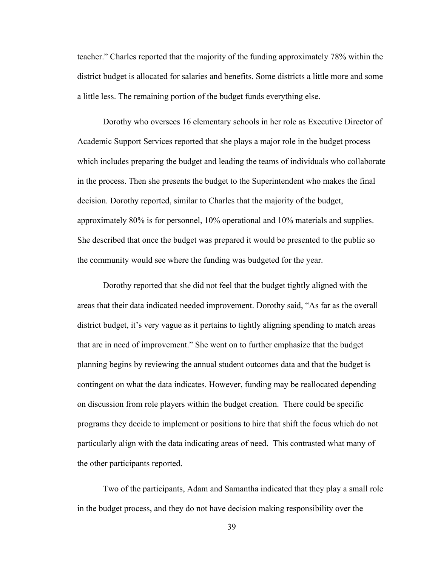teacher." Charles reported that the majority of the funding approximately 78% within the district budget is allocated for salaries and benefits. Some districts a little more and some a little less. The remaining portion of the budget funds everything else.

 Dorothy who oversees 16 elementary schools in her role as Executive Director of Academic Support Services reported that she plays a major role in the budget process which includes preparing the budget and leading the teams of individuals who collaborate in the process. Then she presents the budget to the Superintendent who makes the final decision. Dorothy reported, similar to Charles that the majority of the budget, approximately 80% is for personnel, 10% operational and 10% materials and supplies. She described that once the budget was prepared it would be presented to the public so the community would see where the funding was budgeted for the year.

Dorothy reported that she did not feel that the budget tightly aligned with the areas that their data indicated needed improvement. Dorothy said, "As far as the overall district budget, it's very vague as it pertains to tightly aligning spending to match areas that are in need of improvement." She went on to further emphasize that the budget planning begins by reviewing the annual student outcomes data and that the budget is contingent on what the data indicates. However, funding may be reallocated depending on discussion from role players within the budget creation. There could be specific programs they decide to implement or positions to hire that shift the focus which do not particularly align with the data indicating areas of need. This contrasted what many of the other participants reported.

 Two of the participants, Adam and Samantha indicated that they play a small role in the budget process, and they do not have decision making responsibility over the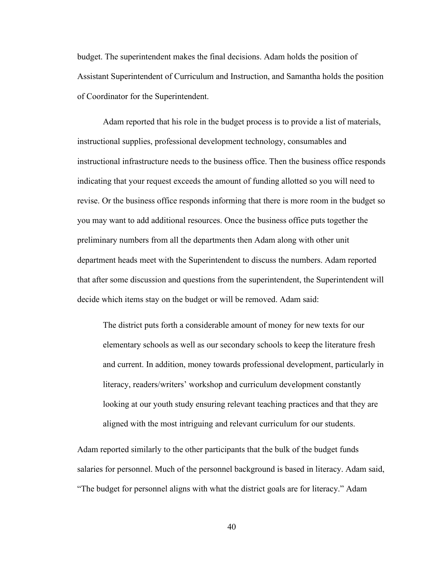budget. The superintendent makes the final decisions. Adam holds the position of Assistant Superintendent of Curriculum and Instruction, and Samantha holds the position of Coordinator for the Superintendent.

 Adam reported that his role in the budget process is to provide a list of materials, instructional supplies, professional development technology, consumables and instructional infrastructure needs to the business office. Then the business office responds indicating that your request exceeds the amount of funding allotted so you will need to revise. Or the business office responds informing that there is more room in the budget so you may want to add additional resources. Once the business office puts together the preliminary numbers from all the departments then Adam along with other unit department heads meet with the Superintendent to discuss the numbers. Adam reported that after some discussion and questions from the superintendent, the Superintendent will decide which items stay on the budget or will be removed. Adam said:

The district puts forth a considerable amount of money for new texts for our elementary schools as well as our secondary schools to keep the literature fresh and current. In addition, money towards professional development, particularly in literacy, readers/writers' workshop and curriculum development constantly looking at our youth study ensuring relevant teaching practices and that they are aligned with the most intriguing and relevant curriculum for our students.

Adam reported similarly to the other participants that the bulk of the budget funds salaries for personnel. Much of the personnel background is based in literacy. Adam said, "The budget for personnel aligns with what the district goals are for literacy." Adam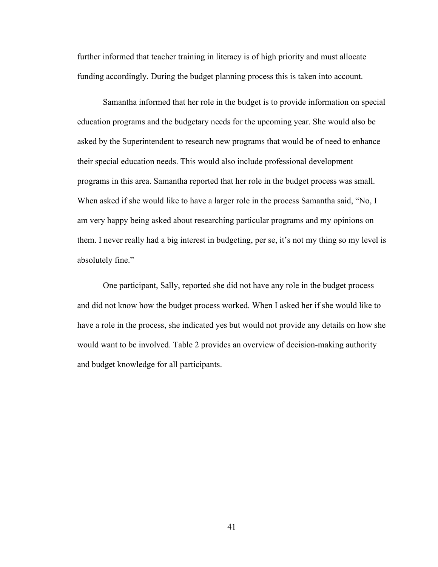further informed that teacher training in literacy is of high priority and must allocate funding accordingly. During the budget planning process this is taken into account.

 Samantha informed that her role in the budget is to provide information on special education programs and the budgetary needs for the upcoming year. She would also be asked by the Superintendent to research new programs that would be of need to enhance their special education needs. This would also include professional development programs in this area. Samantha reported that her role in the budget process was small. When asked if she would like to have a larger role in the process Samantha said, "No, I am very happy being asked about researching particular programs and my opinions on them. I never really had a big interest in budgeting, per se, it's not my thing so my level is absolutely fine."

One participant, Sally, reported she did not have any role in the budget process and did not know how the budget process worked. When I asked her if she would like to have a role in the process, she indicated yes but would not provide any details on how she would want to be involved. Table 2 provides an overview of decision-making authority and budget knowledge for all participants.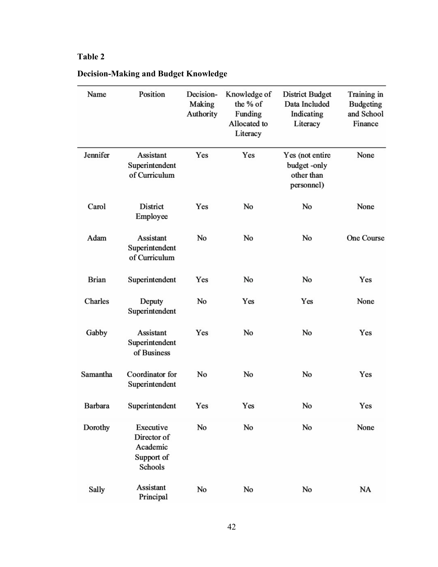# **Table 2**

| Name         | Position                                                      | Decision-           | Knowledge of                                    | <b>District Budget</b>                                     | Training in                               |
|--------------|---------------------------------------------------------------|---------------------|-------------------------------------------------|------------------------------------------------------------|-------------------------------------------|
|              |                                                               | Making<br>Authority | the % of<br>Funding<br>Allocated to<br>Literacy | Data Included<br>Indicating<br>Literacy                    | <b>Budgeting</b><br>and School<br>Finance |
| Jennifer     | <b>Assistant</b><br>Superintendent<br>of Curriculum           | Yes                 | Yes                                             | Yes (not entire<br>budget-only<br>other than<br>personnel) | None                                      |
| Carol        | District<br>Employee                                          | Yes                 | No                                              | No                                                         | None                                      |
| Adam         | Assistant<br>Superintendent<br>of Curriculum                  | No                  | No                                              | No                                                         | <b>One Course</b>                         |
| <b>Brian</b> | Superintendent                                                | Yes                 | No                                              | No                                                         | Yes                                       |
| Charles      | Deputy<br>Superintendent                                      | No                  | Yes                                             | Yes                                                        | None                                      |
| Gabby        | Assistant<br>Superintendent<br>of Business                    | Yes                 | No                                              | No                                                         | Yes                                       |
| Samantha     | Coordinator for<br>Superintendent                             | No                  | No                                              | No                                                         | Yes                                       |
| Barbara      | Superintendent                                                | Yes                 | Yes                                             | No                                                         | Yes                                       |
| Dorothy      | Executive<br>Director of<br>Academic<br>Support of<br>Schools | No                  | No                                              | No                                                         | None                                      |
| Sally        | Assistant<br>Principal                                        | No                  | No                                              | No                                                         | NA                                        |

# **Decision-Making and Budget Knowledge**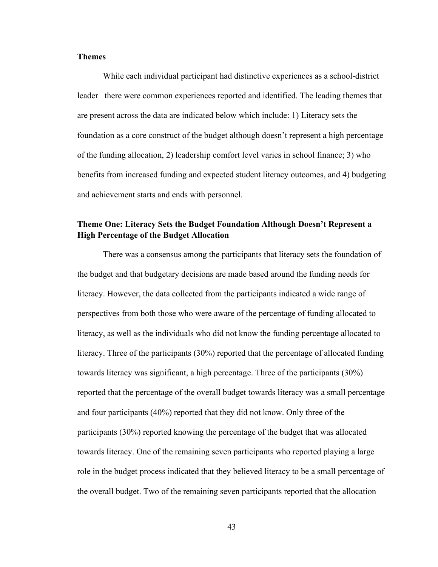### **Themes**

 While each individual participant had distinctive experiences as a school-district leader there were common experiences reported and identified. The leading themes that are present across the data are indicated below which include: 1) Literacy sets the foundation as a core construct of the budget although doesn't represent a high percentage of the funding allocation, 2) leadership comfort level varies in school finance; 3) who benefits from increased funding and expected student literacy outcomes, and 4) budgeting and achievement starts and ends with personnel.

# **Theme One: Literacy Sets the Budget Foundation Although Doesn't Represent a High Percentage of the Budget Allocation**

 There was a consensus among the participants that literacy sets the foundation of the budget and that budgetary decisions are made based around the funding needs for literacy. However, the data collected from the participants indicated a wide range of perspectives from both those who were aware of the percentage of funding allocated to literacy, as well as the individuals who did not know the funding percentage allocated to literacy. Three of the participants (30%) reported that the percentage of allocated funding towards literacy was significant, a high percentage. Three of the participants (30%) reported that the percentage of the overall budget towards literacy was a small percentage and four participants (40%) reported that they did not know. Only three of the participants (30%) reported knowing the percentage of the budget that was allocated towards literacy. One of the remaining seven participants who reported playing a large role in the budget process indicated that they believed literacy to be a small percentage of the overall budget. Two of the remaining seven participants reported that the allocation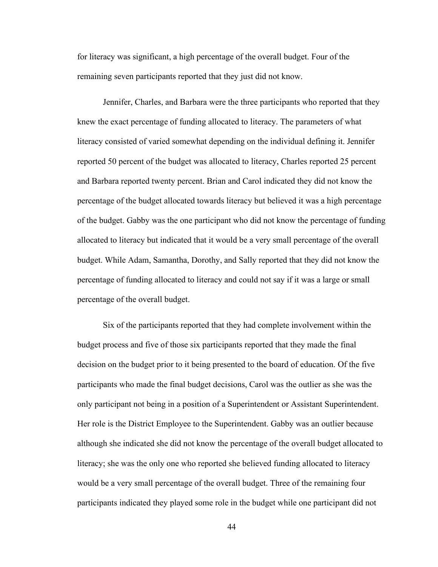for literacy was significant, a high percentage of the overall budget. Four of the remaining seven participants reported that they just did not know.

Jennifer, Charles, and Barbara were the three participants who reported that they knew the exact percentage of funding allocated to literacy. The parameters of what literacy consisted of varied somewhat depending on the individual defining it. Jennifer reported 50 percent of the budget was allocated to literacy, Charles reported 25 percent and Barbara reported twenty percent. Brian and Carol indicated they did not know the percentage of the budget allocated towards literacy but believed it was a high percentage of the budget. Gabby was the one participant who did not know the percentage of funding allocated to literacy but indicated that it would be a very small percentage of the overall budget. While Adam, Samantha, Dorothy, and Sally reported that they did not know the percentage of funding allocated to literacy and could not say if it was a large or small percentage of the overall budget.

Six of the participants reported that they had complete involvement within the budget process and five of those six participants reported that they made the final decision on the budget prior to it being presented to the board of education. Of the five participants who made the final budget decisions, Carol was the outlier as she was the only participant not being in a position of a Superintendent or Assistant Superintendent. Her role is the District Employee to the Superintendent. Gabby was an outlier because although she indicated she did not know the percentage of the overall budget allocated to literacy; she was the only one who reported she believed funding allocated to literacy would be a very small percentage of the overall budget. Three of the remaining four participants indicated they played some role in the budget while one participant did not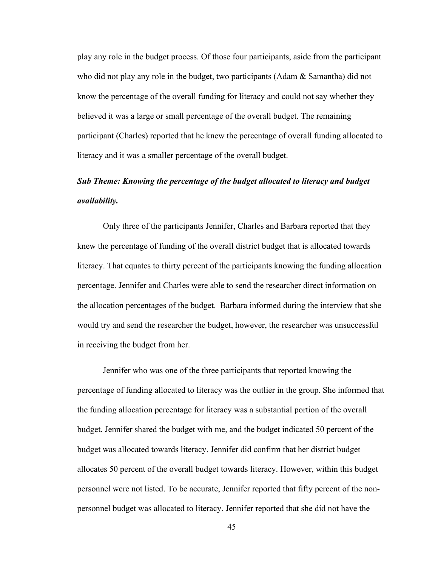play any role in the budget process. Of those four participants, aside from the participant who did not play any role in the budget, two participants (Adam & Samantha) did not know the percentage of the overall funding for literacy and could not say whether they believed it was a large or small percentage of the overall budget. The remaining participant (Charles) reported that he knew the percentage of overall funding allocated to literacy and it was a smaller percentage of the overall budget.

# *Sub Theme: Knowing the percentage of the budget allocated to literacy and budget availability.*

Only three of the participants Jennifer, Charles and Barbara reported that they knew the percentage of funding of the overall district budget that is allocated towards literacy. That equates to thirty percent of the participants knowing the funding allocation percentage. Jennifer and Charles were able to send the researcher direct information on the allocation percentages of the budget. Barbara informed during the interview that she would try and send the researcher the budget, however, the researcher was unsuccessful in receiving the budget from her.

 Jennifer who was one of the three participants that reported knowing the percentage of funding allocated to literacy was the outlier in the group. She informed that the funding allocation percentage for literacy was a substantial portion of the overall budget. Jennifer shared the budget with me, and the budget indicated 50 percent of the budget was allocated towards literacy. Jennifer did confirm that her district budget allocates 50 percent of the overall budget towards literacy. However, within this budget personnel were not listed. To be accurate, Jennifer reported that fifty percent of the nonpersonnel budget was allocated to literacy. Jennifer reported that she did not have the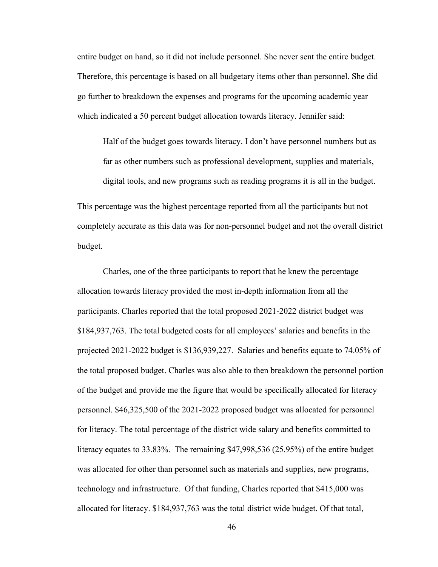entire budget on hand, so it did not include personnel. She never sent the entire budget. Therefore, this percentage is based on all budgetary items other than personnel. She did go further to breakdown the expenses and programs for the upcoming academic year which indicated a 50 percent budget allocation towards literacy. Jennifer said:

Half of the budget goes towards literacy. I don't have personnel numbers but as far as other numbers such as professional development, supplies and materials, digital tools, and new programs such as reading programs it is all in the budget.

This percentage was the highest percentage reported from all the participants but not completely accurate as this data was for non-personnel budget and not the overall district budget.

 Charles, one of the three participants to report that he knew the percentage allocation towards literacy provided the most in-depth information from all the participants. Charles reported that the total proposed 2021-2022 district budget was \$184,937,763. The total budgeted costs for all employees' salaries and benefits in the projected 2021-2022 budget is \$136,939,227. Salaries and benefits equate to 74.05% of the total proposed budget. Charles was also able to then breakdown the personnel portion of the budget and provide me the figure that would be specifically allocated for literacy personnel. \$46,325,500 of the 2021-2022 proposed budget was allocated for personnel for literacy. The total percentage of the district wide salary and benefits committed to literacy equates to 33.83%. The remaining \$47,998,536 (25.95%) of the entire budget was allocated for other than personnel such as materials and supplies, new programs, technology and infrastructure. Of that funding, Charles reported that \$415,000 was allocated for literacy. \$184,937,763 was the total district wide budget. Of that total,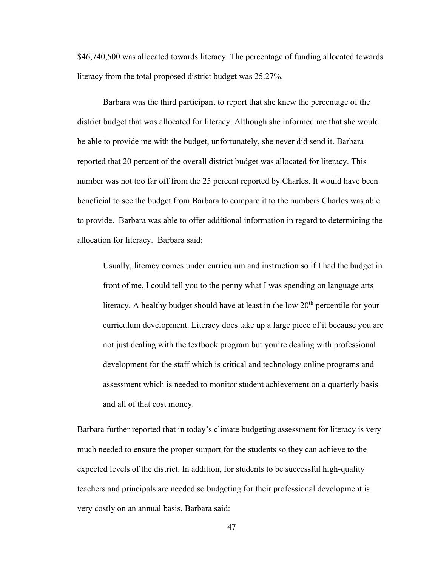\$46,740,500 was allocated towards literacy. The percentage of funding allocated towards literacy from the total proposed district budget was 25.27%.

 Barbara was the third participant to report that she knew the percentage of the district budget that was allocated for literacy. Although she informed me that she would be able to provide me with the budget, unfortunately, she never did send it. Barbara reported that 20 percent of the overall district budget was allocated for literacy. This number was not too far off from the 25 percent reported by Charles. It would have been beneficial to see the budget from Barbara to compare it to the numbers Charles was able to provide. Barbara was able to offer additional information in regard to determining the allocation for literacy. Barbara said:

Usually, literacy comes under curriculum and instruction so if I had the budget in front of me, I could tell you to the penny what I was spending on language arts literacy. A healthy budget should have at least in the low  $20<sup>th</sup>$  percentile for your curriculum development. Literacy does take up a large piece of it because you are not just dealing with the textbook program but you're dealing with professional development for the staff which is critical and technology online programs and assessment which is needed to monitor student achievement on a quarterly basis and all of that cost money.

Barbara further reported that in today's climate budgeting assessment for literacy is very much needed to ensure the proper support for the students so they can achieve to the expected levels of the district. In addition, for students to be successful high-quality teachers and principals are needed so budgeting for their professional development is very costly on an annual basis. Barbara said: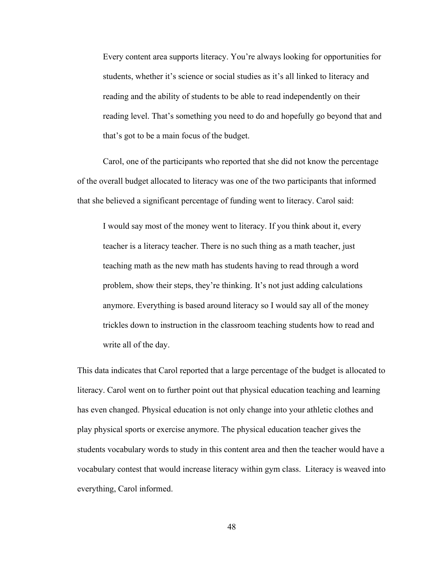Every content area supports literacy. You're always looking for opportunities for students, whether it's science or social studies as it's all linked to literacy and reading and the ability of students to be able to read independently on their reading level. That's something you need to do and hopefully go beyond that and that's got to be a main focus of the budget.

 Carol, one of the participants who reported that she did not know the percentage of the overall budget allocated to literacy was one of the two participants that informed that she believed a significant percentage of funding went to literacy. Carol said:

I would say most of the money went to literacy. If you think about it, every teacher is a literacy teacher. There is no such thing as a math teacher, just teaching math as the new math has students having to read through a word problem, show their steps, they're thinking. It's not just adding calculations anymore. Everything is based around literacy so I would say all of the money trickles down to instruction in the classroom teaching students how to read and write all of the day.

This data indicates that Carol reported that a large percentage of the budget is allocated to literacy. Carol went on to further point out that physical education teaching and learning has even changed. Physical education is not only change into your athletic clothes and play physical sports or exercise anymore. The physical education teacher gives the students vocabulary words to study in this content area and then the teacher would have a vocabulary contest that would increase literacy within gym class. Literacy is weaved into everything, Carol informed.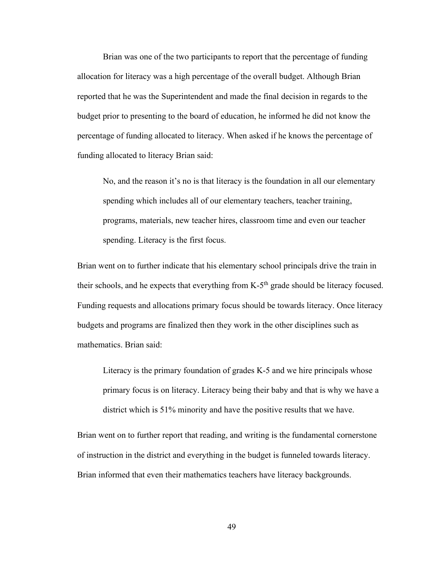Brian was one of the two participants to report that the percentage of funding allocation for literacy was a high percentage of the overall budget. Although Brian reported that he was the Superintendent and made the final decision in regards to the budget prior to presenting to the board of education, he informed he did not know the percentage of funding allocated to literacy. When asked if he knows the percentage of funding allocated to literacy Brian said:

No, and the reason it's no is that literacy is the foundation in all our elementary spending which includes all of our elementary teachers, teacher training, programs, materials, new teacher hires, classroom time and even our teacher spending. Literacy is the first focus.

Brian went on to further indicate that his elementary school principals drive the train in their schools, and he expects that everything from  $K-5<sup>th</sup>$  grade should be literacy focused. Funding requests and allocations primary focus should be towards literacy. Once literacy budgets and programs are finalized then they work in the other disciplines such as mathematics. Brian said:

Literacy is the primary foundation of grades K-5 and we hire principals whose primary focus is on literacy. Literacy being their baby and that is why we have a district which is 51% minority and have the positive results that we have.

Brian went on to further report that reading, and writing is the fundamental cornerstone of instruction in the district and everything in the budget is funneled towards literacy. Brian informed that even their mathematics teachers have literacy backgrounds.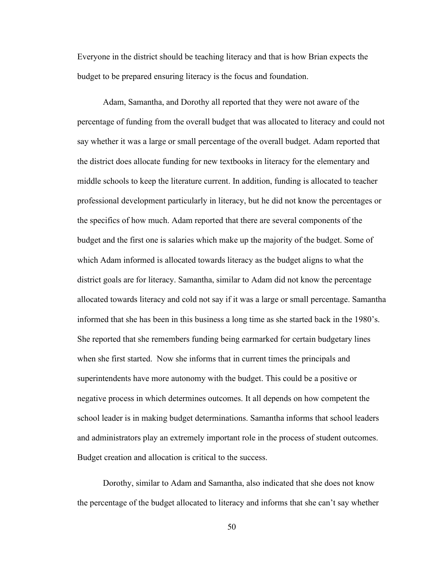Everyone in the district should be teaching literacy and that is how Brian expects the budget to be prepared ensuring literacy is the focus and foundation.

 Adam, Samantha, and Dorothy all reported that they were not aware of the percentage of funding from the overall budget that was allocated to literacy and could not say whether it was a large or small percentage of the overall budget. Adam reported that the district does allocate funding for new textbooks in literacy for the elementary and middle schools to keep the literature current. In addition, funding is allocated to teacher professional development particularly in literacy, but he did not know the percentages or the specifics of how much. Adam reported that there are several components of the budget and the first one is salaries which make up the majority of the budget. Some of which Adam informed is allocated towards literacy as the budget aligns to what the district goals are for literacy. Samantha, similar to Adam did not know the percentage allocated towards literacy and cold not say if it was a large or small percentage. Samantha informed that she has been in this business a long time as she started back in the 1980's. She reported that she remembers funding being earmarked for certain budgetary lines when she first started. Now she informs that in current times the principals and superintendents have more autonomy with the budget. This could be a positive or negative process in which determines outcomes. It all depends on how competent the school leader is in making budget determinations. Samantha informs that school leaders and administrators play an extremely important role in the process of student outcomes. Budget creation and allocation is critical to the success.

 Dorothy, similar to Adam and Samantha, also indicated that she does not know the percentage of the budget allocated to literacy and informs that she can't say whether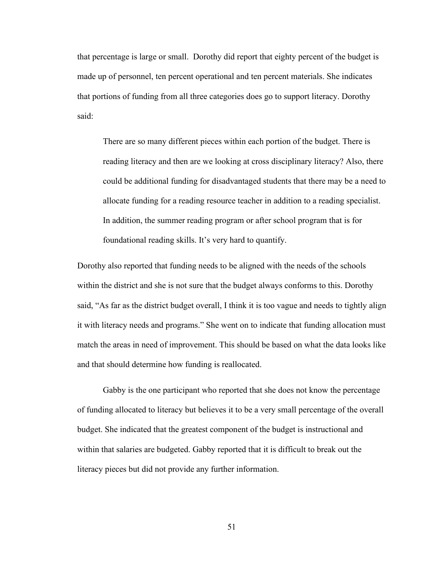that percentage is large or small. Dorothy did report that eighty percent of the budget is made up of personnel, ten percent operational and ten percent materials. She indicates that portions of funding from all three categories does go to support literacy. Dorothy said:

There are so many different pieces within each portion of the budget. There is reading literacy and then are we looking at cross disciplinary literacy? Also, there could be additional funding for disadvantaged students that there may be a need to allocate funding for a reading resource teacher in addition to a reading specialist. In addition, the summer reading program or after school program that is for foundational reading skills. It's very hard to quantify.

Dorothy also reported that funding needs to be aligned with the needs of the schools within the district and she is not sure that the budget always conforms to this. Dorothy said, "As far as the district budget overall, I think it is too vague and needs to tightly align it with literacy needs and programs." She went on to indicate that funding allocation must match the areas in need of improvement. This should be based on what the data looks like and that should determine how funding is reallocated.

 Gabby is the one participant who reported that she does not know the percentage of funding allocated to literacy but believes it to be a very small percentage of the overall budget. She indicated that the greatest component of the budget is instructional and within that salaries are budgeted. Gabby reported that it is difficult to break out the literacy pieces but did not provide any further information.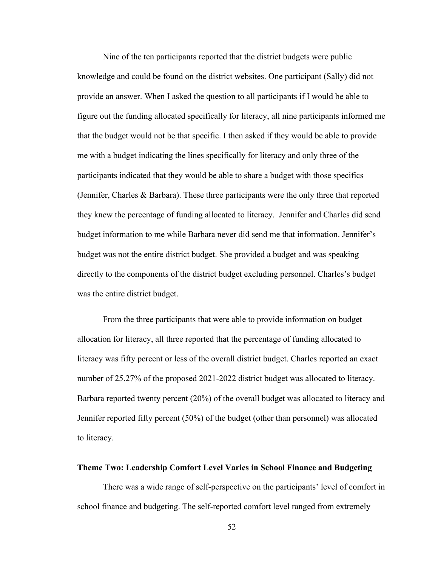Nine of the ten participants reported that the district budgets were public knowledge and could be found on the district websites. One participant (Sally) did not provide an answer. When I asked the question to all participants if I would be able to figure out the funding allocated specifically for literacy, all nine participants informed me that the budget would not be that specific. I then asked if they would be able to provide me with a budget indicating the lines specifically for literacy and only three of the participants indicated that they would be able to share a budget with those specifics (Jennifer, Charles & Barbara). These three participants were the only three that reported they knew the percentage of funding allocated to literacy. Jennifer and Charles did send budget information to me while Barbara never did send me that information. Jennifer's budget was not the entire district budget. She provided a budget and was speaking directly to the components of the district budget excluding personnel. Charles's budget was the entire district budget.

 From the three participants that were able to provide information on budget allocation for literacy, all three reported that the percentage of funding allocated to literacy was fifty percent or less of the overall district budget. Charles reported an exact number of 25.27% of the proposed 2021-2022 district budget was allocated to literacy. Barbara reported twenty percent (20%) of the overall budget was allocated to literacy and Jennifer reported fifty percent (50%) of the budget (other than personnel) was allocated to literacy.

### **Theme Two: Leadership Comfort Level Varies in School Finance and Budgeting**

There was a wide range of self-perspective on the participants' level of comfort in school finance and budgeting. The self-reported comfort level ranged from extremely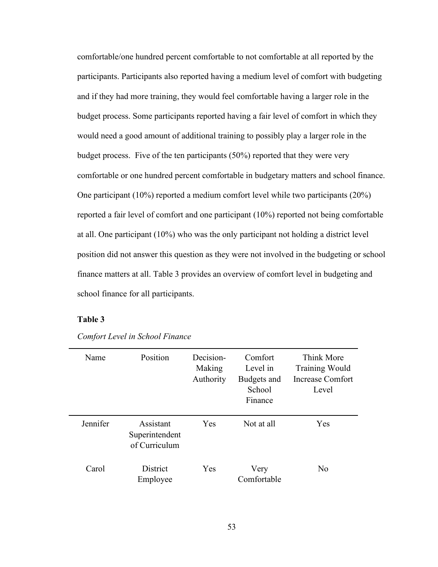comfortable/one hundred percent comfortable to not comfortable at all reported by the participants. Participants also reported having a medium level of comfort with budgeting and if they had more training, they would feel comfortable having a larger role in the budget process. Some participants reported having a fair level of comfort in which they would need a good amount of additional training to possibly play a larger role in the budget process. Five of the ten participants (50%) reported that they were very comfortable or one hundred percent comfortable in budgetary matters and school finance. One participant (10%) reported a medium comfort level while two participants (20%) reported a fair level of comfort and one participant (10%) reported not being comfortable at all. One participant (10%) who was the only participant not holding a district level position did not answer this question as they were not involved in the budgeting or school finance matters at all. Table 3 provides an overview of comfort level in budgeting and school finance for all participants.

# **Table 3**

| Name     | Position                                     | Decision-<br>Making<br>Authority | Comfort<br>Level in<br>Budgets and<br>School<br>Finance | Think More<br><b>Training Would</b><br>Increase Comfort<br>Level |
|----------|----------------------------------------------|----------------------------------|---------------------------------------------------------|------------------------------------------------------------------|
| Jennifer | Assistant<br>Superintendent<br>of Curriculum | Yes                              | Not at all                                              | Yes                                                              |
| Carol    | <b>District</b><br>Employee                  | Yes                              | Very<br>Comfortable                                     | No                                                               |

*Comfort Level in School Finance*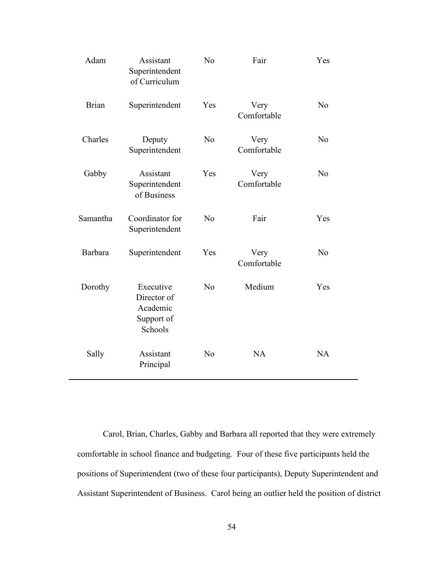| Adam         | Assistant<br>Superintendent<br>of Curriculum                  | No             | Fair                | Yes            |
|--------------|---------------------------------------------------------------|----------------|---------------------|----------------|
| <b>Brian</b> | Superintendent                                                | Yes            | Very<br>Comfortable | N <sub>o</sub> |
| Charles      | Deputy<br>Superintendent                                      | N <sub>o</sub> | Very<br>Comfortable | N <sub>o</sub> |
| Gabby        | Assistant<br>Superintendent<br>of Business                    | Yes            | Very<br>Comfortable | N <sub>o</sub> |
| Samantha     | Coordinator for<br>Superintendent                             | N <sub>o</sub> | Fair                | Yes            |
| Barbara      | Superintendent                                                | Yes            | Very<br>Comfortable | N <sub>o</sub> |
| Dorothy      | Executive<br>Director of<br>Academic<br>Support of<br>Schools | N <sub>o</sub> | Medium              | Yes            |
| Sally        | Assistant<br>Principal                                        | N <sub>o</sub> | <b>NA</b>           | <b>NA</b>      |

 Carol, Brian, Charles, Gabby and Barbara all reported that they were extremely comfortable in school finance and budgeting. Four of these five participants held the positions of Superintendent (two of these four participants), Deputy Superintendent and Assistant Superintendent of Business. Carol being an outlier held the position of district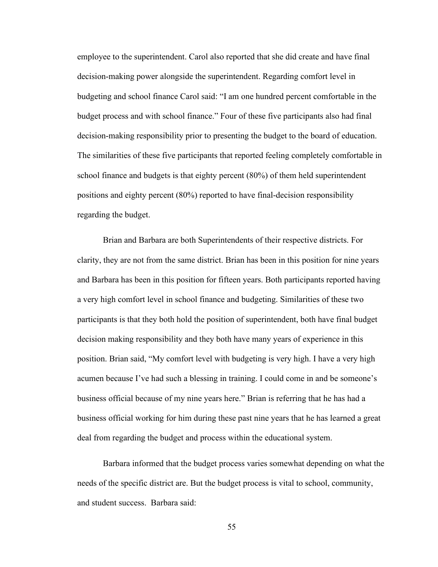employee to the superintendent. Carol also reported that she did create and have final decision-making power alongside the superintendent. Regarding comfort level in budgeting and school finance Carol said: "I am one hundred percent comfortable in the budget process and with school finance." Four of these five participants also had final decision-making responsibility prior to presenting the budget to the board of education. The similarities of these five participants that reported feeling completely comfortable in school finance and budgets is that eighty percent (80%) of them held superintendent positions and eighty percent (80%) reported to have final-decision responsibility regarding the budget.

 Brian and Barbara are both Superintendents of their respective districts. For clarity, they are not from the same district. Brian has been in this position for nine years and Barbara has been in this position for fifteen years. Both participants reported having a very high comfort level in school finance and budgeting. Similarities of these two participants is that they both hold the position of superintendent, both have final budget decision making responsibility and they both have many years of experience in this position. Brian said, "My comfort level with budgeting is very high. I have a very high acumen because I've had such a blessing in training. I could come in and be someone's business official because of my nine years here." Brian is referring that he has had a business official working for him during these past nine years that he has learned a great deal from regarding the budget and process within the educational system.

Barbara informed that the budget process varies somewhat depending on what the needs of the specific district are. But the budget process is vital to school, community, and student success. Barbara said: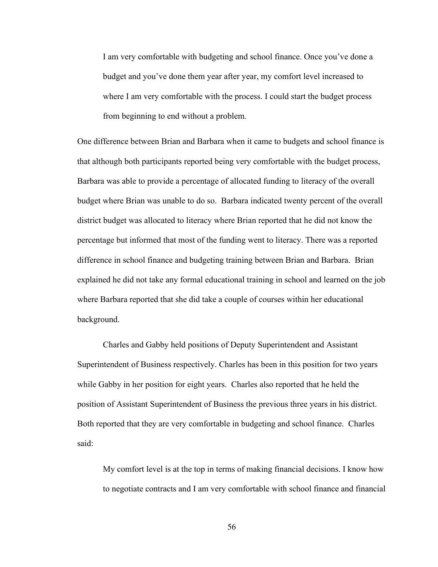I am very comfortable with budgeting and school finance. Once you've done a budget and you've done them year after year, my comfort level increased to where I am very comfortable with the process. I could start the budget process from beginning to end without a problem.

One difference between Brian and Barbara when it came to budgets and school finance is that although both participants reported being very comfortable with the budget process, Barbara was able to provide a percentage of allocated funding to literacy of the overall budget where Brian was unable to do so. Barbara indicated twenty percent of the overall district budget was allocated to literacy where Brian reported that he did not know the percentage but informed that most of the funding went to literacy. There was a reported difference in school finance and budgeting training between Brian and Barbara. Brian explained he did not take any formal educational training in school and learned on the job where Barbara reported that she did take a couple of courses within her educational background.

 Charles and Gabby held positions of Deputy Superintendent and Assistant Superintendent of Business respectively. Charles has been in this position for two years while Gabby in her position for eight years. Charles also reported that he held the position of Assistant Superintendent of Business the previous three years in his district. Both reported that they are very comfortable in budgeting and school finance. Charles said:

My comfort level is at the top in terms of making financial decisions. I know how to negotiate contracts and I am very comfortable with school finance and financial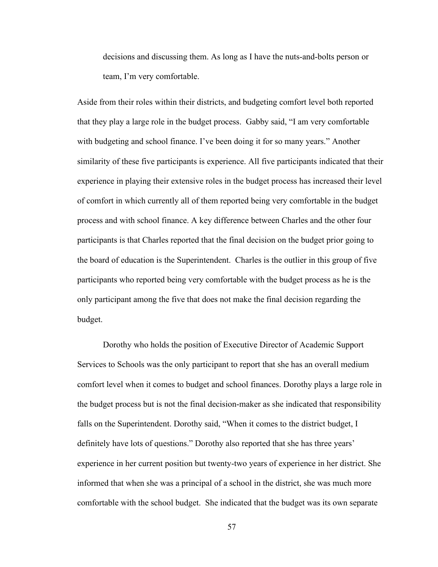decisions and discussing them. As long as I have the nuts-and-bolts person or team, I'm very comfortable.

Aside from their roles within their districts, and budgeting comfort level both reported that they play a large role in the budget process. Gabby said, "I am very comfortable with budgeting and school finance. I've been doing it for so many years." Another similarity of these five participants is experience. All five participants indicated that their experience in playing their extensive roles in the budget process has increased their level of comfort in which currently all of them reported being very comfortable in the budget process and with school finance. A key difference between Charles and the other four participants is that Charles reported that the final decision on the budget prior going to the board of education is the Superintendent. Charles is the outlier in this group of five participants who reported being very comfortable with the budget process as he is the only participant among the five that does not make the final decision regarding the budget.

 Dorothy who holds the position of Executive Director of Academic Support Services to Schools was the only participant to report that she has an overall medium comfort level when it comes to budget and school finances. Dorothy plays a large role in the budget process but is not the final decision-maker as she indicated that responsibility falls on the Superintendent. Dorothy said, "When it comes to the district budget, I definitely have lots of questions." Dorothy also reported that she has three years' experience in her current position but twenty-two years of experience in her district. She informed that when she was a principal of a school in the district, she was much more comfortable with the school budget. She indicated that the budget was its own separate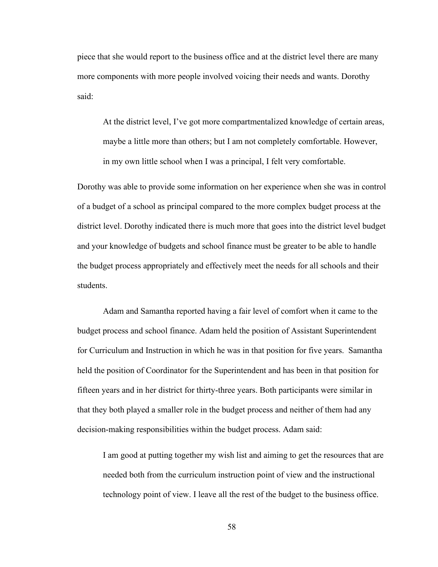piece that she would report to the business office and at the district level there are many more components with more people involved voicing their needs and wants. Dorothy said:

At the district level, I've got more compartmentalized knowledge of certain areas, maybe a little more than others; but I am not completely comfortable. However, in my own little school when I was a principal, I felt very comfortable.

Dorothy was able to provide some information on her experience when she was in control of a budget of a school as principal compared to the more complex budget process at the district level. Dorothy indicated there is much more that goes into the district level budget and your knowledge of budgets and school finance must be greater to be able to handle the budget process appropriately and effectively meet the needs for all schools and their students.

Adam and Samantha reported having a fair level of comfort when it came to the budget process and school finance. Adam held the position of Assistant Superintendent for Curriculum and Instruction in which he was in that position for five years. Samantha held the position of Coordinator for the Superintendent and has been in that position for fifteen years and in her district for thirty-three years. Both participants were similar in that they both played a smaller role in the budget process and neither of them had any decision-making responsibilities within the budget process. Adam said:

I am good at putting together my wish list and aiming to get the resources that are needed both from the curriculum instruction point of view and the instructional technology point of view. I leave all the rest of the budget to the business office.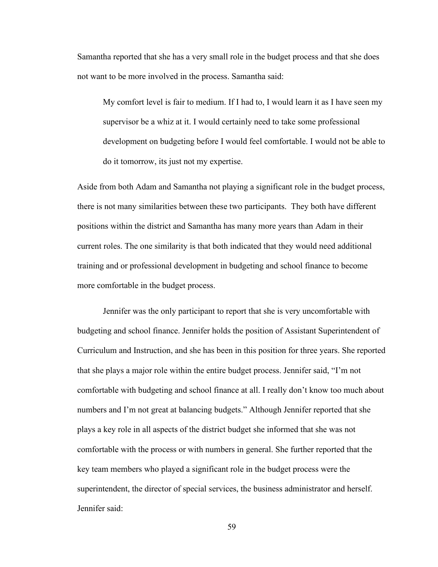Samantha reported that she has a very small role in the budget process and that she does not want to be more involved in the process. Samantha said:

My comfort level is fair to medium. If I had to, I would learn it as I have seen my supervisor be a whiz at it. I would certainly need to take some professional development on budgeting before I would feel comfortable. I would not be able to do it tomorrow, its just not my expertise.

Aside from both Adam and Samantha not playing a significant role in the budget process, there is not many similarities between these two participants. They both have different positions within the district and Samantha has many more years than Adam in their current roles. The one similarity is that both indicated that they would need additional training and or professional development in budgeting and school finance to become more comfortable in the budget process.

 Jennifer was the only participant to report that she is very uncomfortable with budgeting and school finance. Jennifer holds the position of Assistant Superintendent of Curriculum and Instruction, and she has been in this position for three years. She reported that she plays a major role within the entire budget process. Jennifer said, "I'm not comfortable with budgeting and school finance at all. I really don't know too much about numbers and I'm not great at balancing budgets." Although Jennifer reported that she plays a key role in all aspects of the district budget she informed that she was not comfortable with the process or with numbers in general. She further reported that the key team members who played a significant role in the budget process were the superintendent, the director of special services, the business administrator and herself. Jennifer said: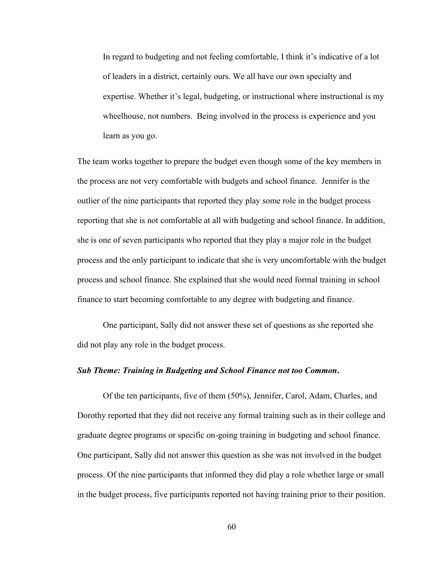In regard to budgeting and not feeling comfortable, I think it's indicative of a lot of leaders in a district, certainly ours. We all have our own specialty and expertise. Whether it's legal, budgeting, or instructional where instructional is my wheelhouse, not numbers. Being involved in the process is experience and you learn as you go.

The team works together to prepare the budget even though some of the key members in the process are not very comfortable with budgets and school finance. Jennifer is the outlier of the nine participants that reported they play some role in the budget process reporting that she is not comfortable at all with budgeting and school finance. In addition, she is one of seven participants who reported that they play a major role in the budget process and the only participant to indicate that she is very uncomfortable with the budget process and school finance. She explained that she would need formal training in school finance to start becoming comfortable to any degree with budgeting and finance.

 One participant, Sally did not answer these set of questions as she reported she did not play any role in the budget process.

### *Sub Theme: Training in Budgeting and School Finance not too Common***.**

Of the ten participants, five of them (50%), Jennifer, Carol, Adam, Charles, and Dorothy reported that they did not receive any formal training such as in their college and graduate degree programs or specific on-going training in budgeting and school finance. One participant, Sally did not answer this question as she was not involved in the budget process. Of the nine participants that informed they did play a role whether large or small in the budget process, five participants reported not having training prior to their position.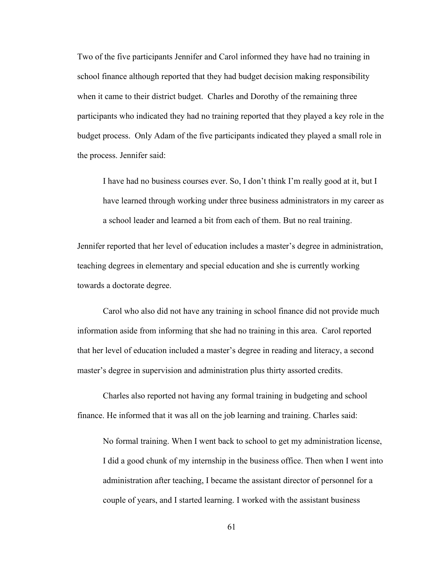Two of the five participants Jennifer and Carol informed they have had no training in school finance although reported that they had budget decision making responsibility when it came to their district budget. Charles and Dorothy of the remaining three participants who indicated they had no training reported that they played a key role in the budget process. Only Adam of the five participants indicated they played a small role in the process. Jennifer said:

I have had no business courses ever. So, I don't think I'm really good at it, but I have learned through working under three business administrators in my career as a school leader and learned a bit from each of them. But no real training.

Jennifer reported that her level of education includes a master's degree in administration, teaching degrees in elementary and special education and she is currently working towards a doctorate degree.

 Carol who also did not have any training in school finance did not provide much information aside from informing that she had no training in this area. Carol reported that her level of education included a master's degree in reading and literacy, a second master's degree in supervision and administration plus thirty assorted credits.

 Charles also reported not having any formal training in budgeting and school finance. He informed that it was all on the job learning and training. Charles said:

No formal training. When I went back to school to get my administration license, I did a good chunk of my internship in the business office. Then when I went into administration after teaching, I became the assistant director of personnel for a couple of years, and I started learning. I worked with the assistant business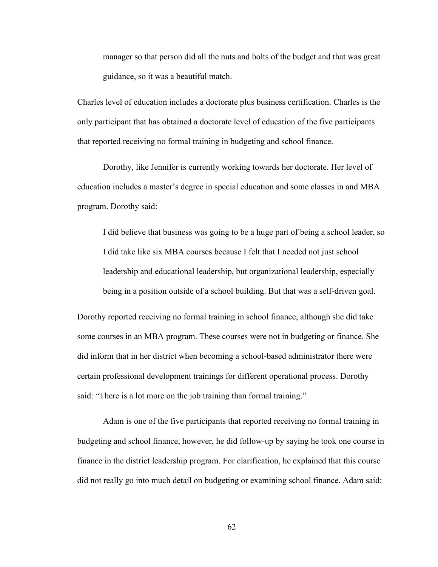manager so that person did all the nuts and bolts of the budget and that was great guidance, so it was a beautiful match.

Charles level of education includes a doctorate plus business certification. Charles is the only participant that has obtained a doctorate level of education of the five participants that reported receiving no formal training in budgeting and school finance.

 Dorothy, like Jennifer is currently working towards her doctorate. Her level of education includes a master's degree in special education and some classes in and MBA program. Dorothy said:

I did believe that business was going to be a huge part of being a school leader, so I did take like six MBA courses because I felt that I needed not just school leadership and educational leadership, but organizational leadership, especially being in a position outside of a school building. But that was a self-driven goal.

Dorothy reported receiving no formal training in school finance, although she did take some courses in an MBA program. These courses were not in budgeting or finance. She did inform that in her district when becoming a school-based administrator there were certain professional development trainings for different operational process. Dorothy said: "There is a lot more on the job training than formal training."

 Adam is one of the five participants that reported receiving no formal training in budgeting and school finance, however, he did follow-up by saying he took one course in finance in the district leadership program. For clarification, he explained that this course did not really go into much detail on budgeting or examining school finance. Adam said: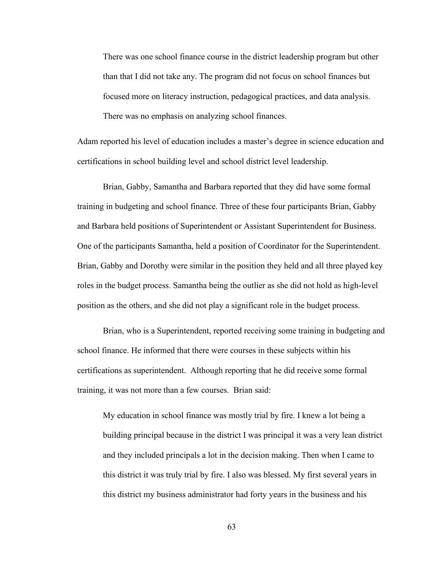There was one school finance course in the district leadership program but other than that I did not take any. The program did not focus on school finances but focused more on literacy instruction, pedagogical practices, and data analysis. There was no emphasis on analyzing school finances.

Adam reported his level of education includes a master's degree in science education and certifications in school building level and school district level leadership.

 Brian, Gabby, Samantha and Barbara reported that they did have some formal training in budgeting and school finance. Three of these four participants Brian, Gabby and Barbara held positions of Superintendent or Assistant Superintendent for Business. One of the participants Samantha, held a position of Coordinator for the Superintendent. Brian, Gabby and Dorothy were similar in the position they held and all three played key roles in the budget process. Samantha being the outlier as she did not hold as high-level position as the others, and she did not play a significant role in the budget process.

 Brian, who is a Superintendent, reported receiving some training in budgeting and school finance. He informed that there were courses in these subjects within his certifications as superintendent. Although reporting that he did receive some formal training, it was not more than a few courses. Brian said:

My education in school finance was mostly trial by fire. I knew a lot being a building principal because in the district I was principal it was a very lean district and they included principals a lot in the decision making. Then when I came to this district it was truly trial by fire. I also was blessed. My first several years in this district my business administrator had forty years in the business and his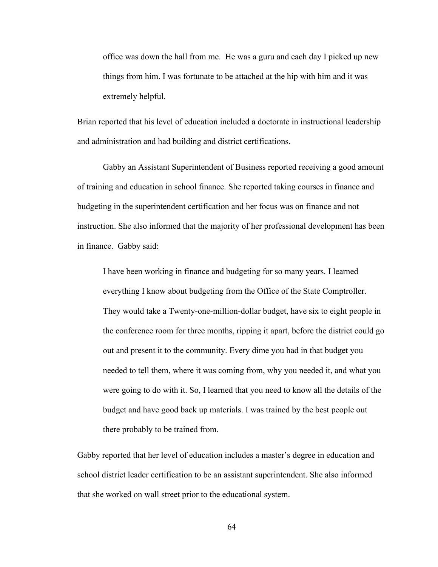office was down the hall from me. He was a guru and each day I picked up new things from him. I was fortunate to be attached at the hip with him and it was extremely helpful.

Brian reported that his level of education included a doctorate in instructional leadership and administration and had building and district certifications.

 Gabby an Assistant Superintendent of Business reported receiving a good amount of training and education in school finance. She reported taking courses in finance and budgeting in the superintendent certification and her focus was on finance and not instruction. She also informed that the majority of her professional development has been in finance. Gabby said:

I have been working in finance and budgeting for so many years. I learned everything I know about budgeting from the Office of the State Comptroller. They would take a Twenty-one-million-dollar budget, have six to eight people in the conference room for three months, ripping it apart, before the district could go out and present it to the community. Every dime you had in that budget you needed to tell them, where it was coming from, why you needed it, and what you were going to do with it. So, I learned that you need to know all the details of the budget and have good back up materials. I was trained by the best people out there probably to be trained from.

Gabby reported that her level of education includes a master's degree in education and school district leader certification to be an assistant superintendent. She also informed that she worked on wall street prior to the educational system.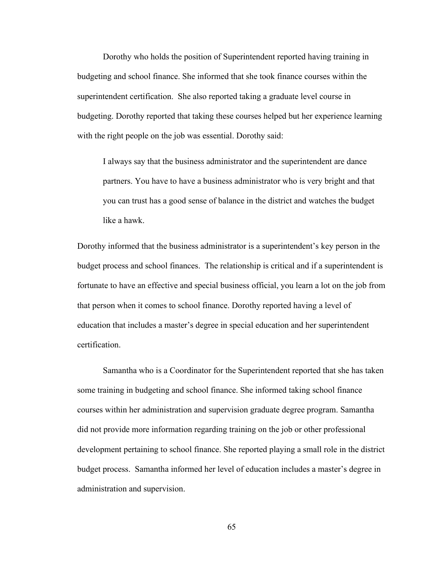Dorothy who holds the position of Superintendent reported having training in budgeting and school finance. She informed that she took finance courses within the superintendent certification. She also reported taking a graduate level course in budgeting. Dorothy reported that taking these courses helped but her experience learning with the right people on the job was essential. Dorothy said:

I always say that the business administrator and the superintendent are dance partners. You have to have a business administrator who is very bright and that you can trust has a good sense of balance in the district and watches the budget like a hawk.

Dorothy informed that the business administrator is a superintendent's key person in the budget process and school finances. The relationship is critical and if a superintendent is fortunate to have an effective and special business official, you learn a lot on the job from that person when it comes to school finance. Dorothy reported having a level of education that includes a master's degree in special education and her superintendent certification.

Samantha who is a Coordinator for the Superintendent reported that she has taken some training in budgeting and school finance. She informed taking school finance courses within her administration and supervision graduate degree program. Samantha did not provide more information regarding training on the job or other professional development pertaining to school finance. She reported playing a small role in the district budget process. Samantha informed her level of education includes a master's degree in administration and supervision.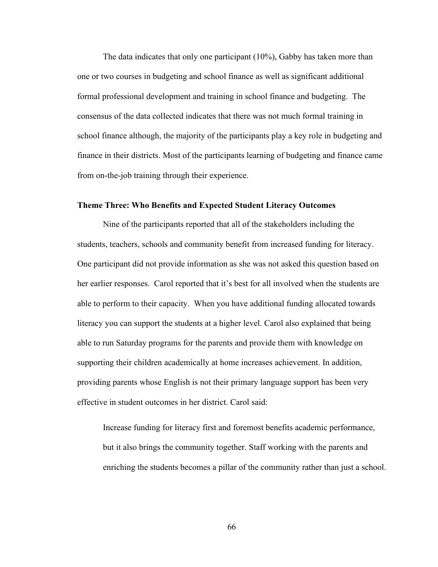The data indicates that only one participant (10%), Gabby has taken more than one or two courses in budgeting and school finance as well as significant additional formal professional development and training in school finance and budgeting. The consensus of the data collected indicates that there was not much formal training in school finance although, the majority of the participants play a key role in budgeting and finance in their districts. Most of the participants learning of budgeting and finance came from on-the-job training through their experience.

#### **Theme Three: Who Benefits and Expected Student Literacy Outcomes**

 Nine of the participants reported that all of the stakeholders including the students, teachers, schools and community benefit from increased funding for literacy. One participant did not provide information as she was not asked this question based on her earlier responses. Carol reported that it's best for all involved when the students are able to perform to their capacity. When you have additional funding allocated towards literacy you can support the students at a higher level. Carol also explained that being able to run Saturday programs for the parents and provide them with knowledge on supporting their children academically at home increases achievement. In addition, providing parents whose English is not their primary language support has been very effective in student outcomes in her district. Carol said:

Increase funding for literacy first and foremost benefits academic performance, but it also brings the community together. Staff working with the parents and enriching the students becomes a pillar of the community rather than just a school.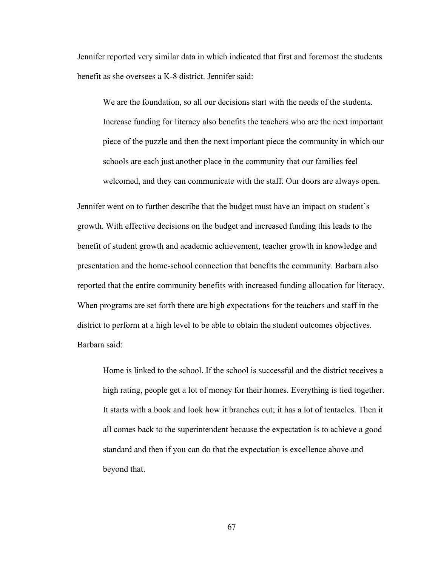Jennifer reported very similar data in which indicated that first and foremost the students benefit as she oversees a K-8 district. Jennifer said:

We are the foundation, so all our decisions start with the needs of the students. Increase funding for literacy also benefits the teachers who are the next important piece of the puzzle and then the next important piece the community in which our schools are each just another place in the community that our families feel welcomed, and they can communicate with the staff. Our doors are always open.

Jennifer went on to further describe that the budget must have an impact on student's growth. With effective decisions on the budget and increased funding this leads to the benefit of student growth and academic achievement, teacher growth in knowledge and presentation and the home-school connection that benefits the community. Barbara also reported that the entire community benefits with increased funding allocation for literacy. When programs are set forth there are high expectations for the teachers and staff in the district to perform at a high level to be able to obtain the student outcomes objectives. Barbara said:

Home is linked to the school. If the school is successful and the district receives a high rating, people get a lot of money for their homes. Everything is tied together. It starts with a book and look how it branches out; it has a lot of tentacles. Then it all comes back to the superintendent because the expectation is to achieve a good standard and then if you can do that the expectation is excellence above and beyond that.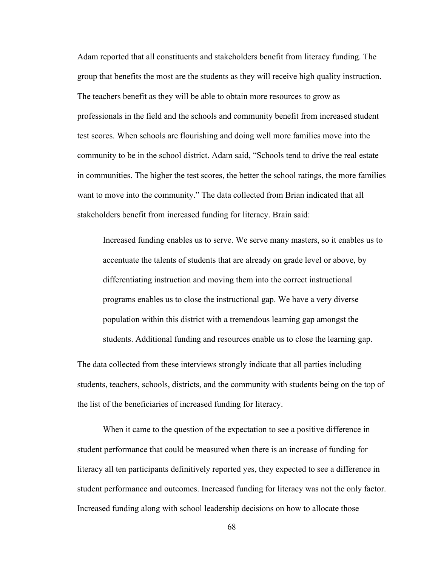Adam reported that all constituents and stakeholders benefit from literacy funding. The group that benefits the most are the students as they will receive high quality instruction. The teachers benefit as they will be able to obtain more resources to grow as professionals in the field and the schools and community benefit from increased student test scores. When schools are flourishing and doing well more families move into the community to be in the school district. Adam said, "Schools tend to drive the real estate in communities. The higher the test scores, the better the school ratings, the more families want to move into the community." The data collected from Brian indicated that all stakeholders benefit from increased funding for literacy. Brain said:

Increased funding enables us to serve. We serve many masters, so it enables us to accentuate the talents of students that are already on grade level or above, by differentiating instruction and moving them into the correct instructional programs enables us to close the instructional gap. We have a very diverse population within this district with a tremendous learning gap amongst the students. Additional funding and resources enable us to close the learning gap.

The data collected from these interviews strongly indicate that all parties including students, teachers, schools, districts, and the community with students being on the top of the list of the beneficiaries of increased funding for literacy.

When it came to the question of the expectation to see a positive difference in student performance that could be measured when there is an increase of funding for literacy all ten participants definitively reported yes, they expected to see a difference in student performance and outcomes. Increased funding for literacy was not the only factor. Increased funding along with school leadership decisions on how to allocate those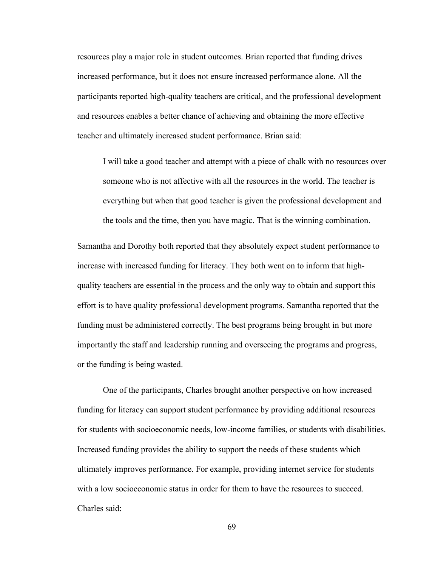resources play a major role in student outcomes. Brian reported that funding drives increased performance, but it does not ensure increased performance alone. All the participants reported high-quality teachers are critical, and the professional development and resources enables a better chance of achieving and obtaining the more effective teacher and ultimately increased student performance. Brian said:

I will take a good teacher and attempt with a piece of chalk with no resources over someone who is not affective with all the resources in the world. The teacher is everything but when that good teacher is given the professional development and the tools and the time, then you have magic. That is the winning combination.

Samantha and Dorothy both reported that they absolutely expect student performance to increase with increased funding for literacy. They both went on to inform that highquality teachers are essential in the process and the only way to obtain and support this effort is to have quality professional development programs. Samantha reported that the funding must be administered correctly. The best programs being brought in but more importantly the staff and leadership running and overseeing the programs and progress, or the funding is being wasted.

 One of the participants, Charles brought another perspective on how increased funding for literacy can support student performance by providing additional resources for students with socioeconomic needs, low-income families, or students with disabilities. Increased funding provides the ability to support the needs of these students which ultimately improves performance. For example, providing internet service for students with a low socioeconomic status in order for them to have the resources to succeed. Charles said: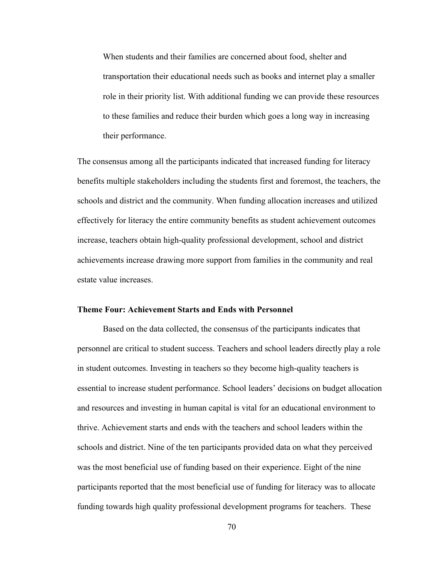When students and their families are concerned about food, shelter and transportation their educational needs such as books and internet play a smaller role in their priority list. With additional funding we can provide these resources to these families and reduce their burden which goes a long way in increasing their performance.

The consensus among all the participants indicated that increased funding for literacy benefits multiple stakeholders including the students first and foremost, the teachers, the schools and district and the community. When funding allocation increases and utilized effectively for literacy the entire community benefits as student achievement outcomes increase, teachers obtain high-quality professional development, school and district achievements increase drawing more support from families in the community and real estate value increases.

#### **Theme Four: Achievement Starts and Ends with Personnel**

 Based on the data collected, the consensus of the participants indicates that personnel are critical to student success. Teachers and school leaders directly play a role in student outcomes. Investing in teachers so they become high-quality teachers is essential to increase student performance. School leaders' decisions on budget allocation and resources and investing in human capital is vital for an educational environment to thrive. Achievement starts and ends with the teachers and school leaders within the schools and district. Nine of the ten participants provided data on what they perceived was the most beneficial use of funding based on their experience. Eight of the nine participants reported that the most beneficial use of funding for literacy was to allocate funding towards high quality professional development programs for teachers. These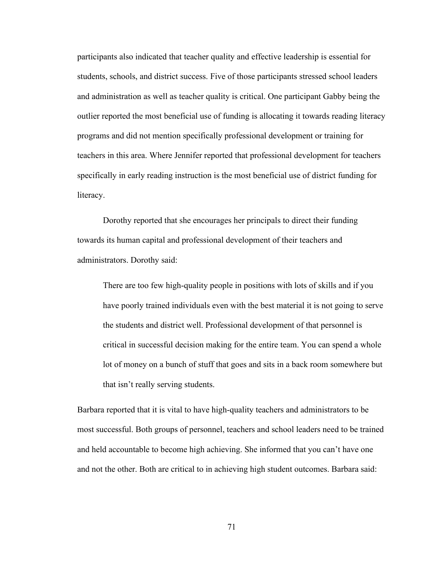participants also indicated that teacher quality and effective leadership is essential for students, schools, and district success. Five of those participants stressed school leaders and administration as well as teacher quality is critical. One participant Gabby being the outlier reported the most beneficial use of funding is allocating it towards reading literacy programs and did not mention specifically professional development or training for teachers in this area. Where Jennifer reported that professional development for teachers specifically in early reading instruction is the most beneficial use of district funding for literacy.

Dorothy reported that she encourages her principals to direct their funding towards its human capital and professional development of their teachers and administrators. Dorothy said:

There are too few high-quality people in positions with lots of skills and if you have poorly trained individuals even with the best material it is not going to serve the students and district well. Professional development of that personnel is critical in successful decision making for the entire team. You can spend a whole lot of money on a bunch of stuff that goes and sits in a back room somewhere but that isn't really serving students.

Barbara reported that it is vital to have high-quality teachers and administrators to be most successful. Both groups of personnel, teachers and school leaders need to be trained and held accountable to become high achieving. She informed that you can't have one and not the other. Both are critical to in achieving high student outcomes. Barbara said: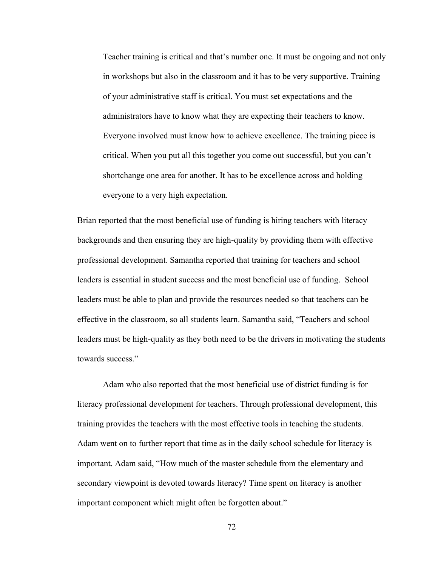Teacher training is critical and that's number one. It must be ongoing and not only in workshops but also in the classroom and it has to be very supportive. Training of your administrative staff is critical. You must set expectations and the administrators have to know what they are expecting their teachers to know. Everyone involved must know how to achieve excellence. The training piece is critical. When you put all this together you come out successful, but you can't shortchange one area for another. It has to be excellence across and holding everyone to a very high expectation.

Brian reported that the most beneficial use of funding is hiring teachers with literacy backgrounds and then ensuring they are high-quality by providing them with effective professional development. Samantha reported that training for teachers and school leaders is essential in student success and the most beneficial use of funding. School leaders must be able to plan and provide the resources needed so that teachers can be effective in the classroom, so all students learn. Samantha said, "Teachers and school leaders must be high-quality as they both need to be the drivers in motivating the students towards success."

 Adam who also reported that the most beneficial use of district funding is for literacy professional development for teachers. Through professional development, this training provides the teachers with the most effective tools in teaching the students. Adam went on to further report that time as in the daily school schedule for literacy is important. Adam said, "How much of the master schedule from the elementary and secondary viewpoint is devoted towards literacy? Time spent on literacy is another important component which might often be forgotten about."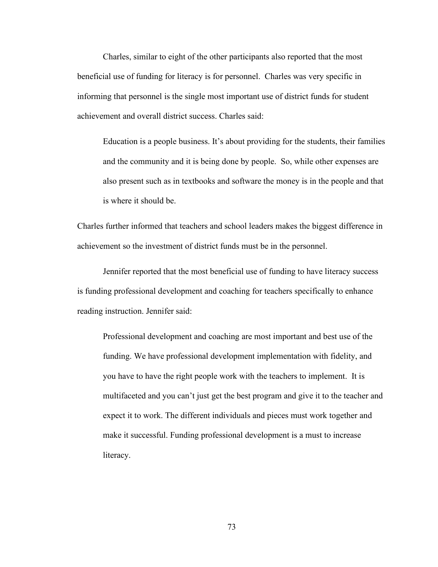Charles, similar to eight of the other participants also reported that the most beneficial use of funding for literacy is for personnel. Charles was very specific in informing that personnel is the single most important use of district funds for student achievement and overall district success. Charles said:

Education is a people business. It's about providing for the students, their families and the community and it is being done by people. So, while other expenses are also present such as in textbooks and software the money is in the people and that is where it should be.

Charles further informed that teachers and school leaders makes the biggest difference in achievement so the investment of district funds must be in the personnel.

 Jennifer reported that the most beneficial use of funding to have literacy success is funding professional development and coaching for teachers specifically to enhance reading instruction. Jennifer said:

Professional development and coaching are most important and best use of the funding. We have professional development implementation with fidelity, and you have to have the right people work with the teachers to implement. It is multifaceted and you can't just get the best program and give it to the teacher and expect it to work. The different individuals and pieces must work together and make it successful. Funding professional development is a must to increase literacy.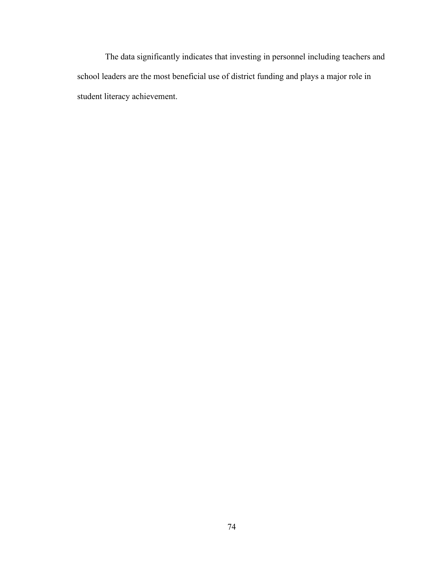The data significantly indicates that investing in personnel including teachers and school leaders are the most beneficial use of district funding and plays a major role in student literacy achievement.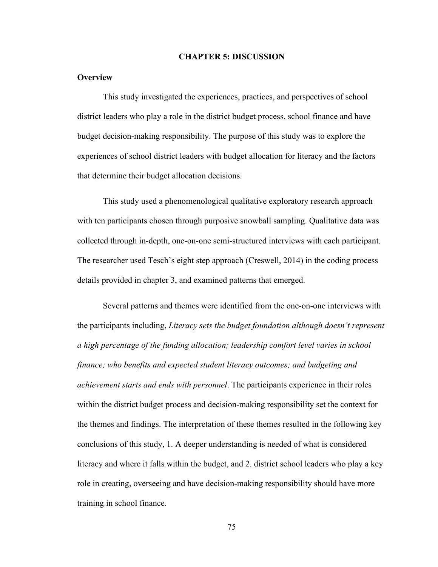#### **CHAPTER 5: DISCUSSION**

#### **Overview**

This study investigated the experiences, practices, and perspectives of school district leaders who play a role in the district budget process, school finance and have budget decision-making responsibility. The purpose of this study was to explore the experiences of school district leaders with budget allocation for literacy and the factors that determine their budget allocation decisions.

This study used a phenomenological qualitative exploratory research approach with ten participants chosen through purposive snowball sampling. Qualitative data was collected through in-depth, one-on-one semi-structured interviews with each participant. The researcher used Tesch's eight step approach (Creswell, 2014) in the coding process details provided in chapter 3, and examined patterns that emerged.

Several patterns and themes were identified from the one-on-one interviews with the participants including, *Literacy sets the budget foundation although doesn't represent a high percentage of the funding allocation; leadership comfort level varies in school finance; who benefits and expected student literacy outcomes; and budgeting and achievement starts and ends with personnel*. The participants experience in their roles within the district budget process and decision-making responsibility set the context for the themes and findings. The interpretation of these themes resulted in the following key conclusions of this study, 1. A deeper understanding is needed of what is considered literacy and where it falls within the budget, and 2. district school leaders who play a key role in creating, overseeing and have decision-making responsibility should have more training in school finance.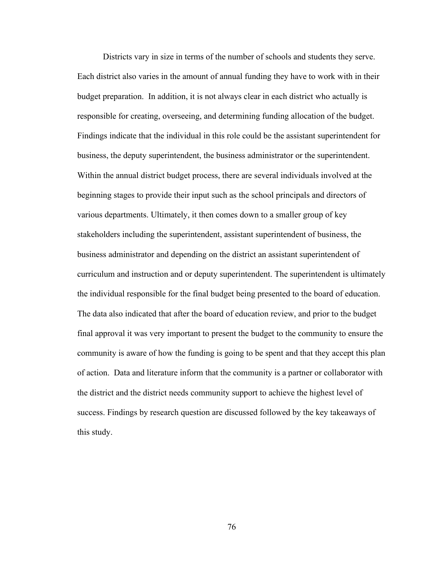Districts vary in size in terms of the number of schools and students they serve. Each district also varies in the amount of annual funding they have to work with in their budget preparation. In addition, it is not always clear in each district who actually is responsible for creating, overseeing, and determining funding allocation of the budget. Findings indicate that the individual in this role could be the assistant superintendent for business, the deputy superintendent, the business administrator or the superintendent. Within the annual district budget process, there are several individuals involved at the beginning stages to provide their input such as the school principals and directors of various departments. Ultimately, it then comes down to a smaller group of key stakeholders including the superintendent, assistant superintendent of business, the business administrator and depending on the district an assistant superintendent of curriculum and instruction and or deputy superintendent. The superintendent is ultimately the individual responsible for the final budget being presented to the board of education. The data also indicated that after the board of education review, and prior to the budget final approval it was very important to present the budget to the community to ensure the community is aware of how the funding is going to be spent and that they accept this plan of action. Data and literature inform that the community is a partner or collaborator with the district and the district needs community support to achieve the highest level of success. Findings by research question are discussed followed by the key takeaways of this study.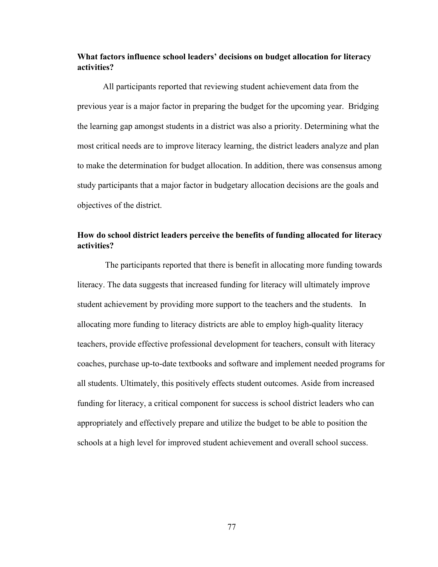#### **What factors influence school leaders' decisions on budget allocation for literacy activities?**

 All participants reported that reviewing student achievement data from the previous year is a major factor in preparing the budget for the upcoming year. Bridging the learning gap amongst students in a district was also a priority. Determining what the most critical needs are to improve literacy learning, the district leaders analyze and plan to make the determination for budget allocation. In addition, there was consensus among study participants that a major factor in budgetary allocation decisions are the goals and objectives of the district.

#### **How do school district leaders perceive the benefits of funding allocated for literacy activities?**

 The participants reported that there is benefit in allocating more funding towards literacy. The data suggests that increased funding for literacy will ultimately improve student achievement by providing more support to the teachers and the students. In allocating more funding to literacy districts are able to employ high-quality literacy teachers, provide effective professional development for teachers, consult with literacy coaches, purchase up-to-date textbooks and software and implement needed programs for all students. Ultimately, this positively effects student outcomes. Aside from increased funding for literacy, a critical component for success is school district leaders who can appropriately and effectively prepare and utilize the budget to be able to position the schools at a high level for improved student achievement and overall school success.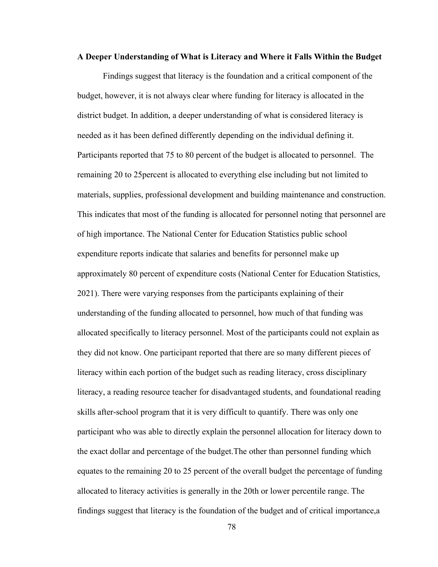#### **A Deeper Understanding of What is Literacy and Where it Falls Within the Budget**

Findings suggest that literacy is the foundation and a critical component of the budget, however, it is not always clear where funding for literacy is allocated in the district budget. In addition, a deeper understanding of what is considered literacy is needed as it has been defined differently depending on the individual defining it. Participants reported that 75 to 80 percent of the budget is allocated to personnel. The remaining 20 to 25percent is allocated to everything else including but not limited to materials, supplies, professional development and building maintenance and construction. This indicates that most of the funding is allocated for personnel noting that personnel are of high importance. The National Center for Education Statistics public school expenditure reports indicate that salaries and benefits for personnel make up approximately 80 percent of expenditure costs (National Center for Education Statistics, 2021). There were varying responses from the participants explaining of their understanding of the funding allocated to personnel, how much of that funding was allocated specifically to literacy personnel. Most of the participants could not explain as they did not know. One participant reported that there are so many different pieces of literacy within each portion of the budget such as reading literacy, cross disciplinary literacy, a reading resource teacher for disadvantaged students, and foundational reading skills after-school program that it is very difficult to quantify. There was only one participant who was able to directly explain the personnel allocation for literacy down to the exact dollar and percentage of the budget.The other than personnel funding which equates to the remaining 20 to 25 percent of the overall budget the percentage of funding allocated to literacy activities is generally in the 20th or lower percentile range. The findings suggest that literacy is the foundation of the budget and of critical importance,a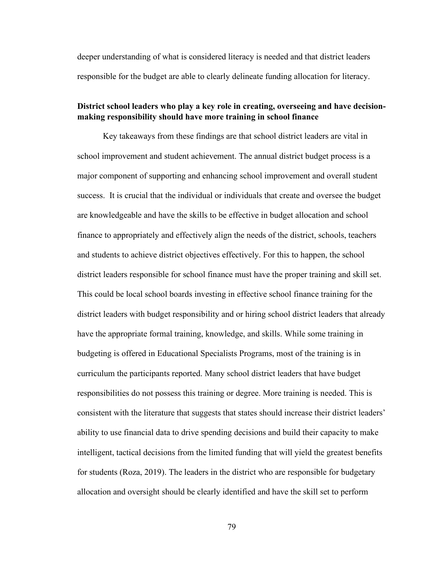deeper understanding of what is considered literacy is needed and that district leaders responsible for the budget are able to clearly delineate funding allocation for literacy.

#### **District school leaders who play a key role in creating, overseeing and have decisionmaking responsibility should have more training in school finance**

Key takeaways from these findings are that school district leaders are vital in school improvement and student achievement. The annual district budget process is a major component of supporting and enhancing school improvement and overall student success. It is crucial that the individual or individuals that create and oversee the budget are knowledgeable and have the skills to be effective in budget allocation and school finance to appropriately and effectively align the needs of the district, schools, teachers and students to achieve district objectives effectively. For this to happen, the school district leaders responsible for school finance must have the proper training and skill set. This could be local school boards investing in effective school finance training for the district leaders with budget responsibility and or hiring school district leaders that already have the appropriate formal training, knowledge, and skills. While some training in budgeting is offered in Educational Specialists Programs, most of the training is in curriculum the participants reported. Many school district leaders that have budget responsibilities do not possess this training or degree. More training is needed. This is consistent with the literature that suggests that states should increase their district leaders' ability to use financial data to drive spending decisions and build their capacity to make intelligent, tactical decisions from the limited funding that will yield the greatest benefits for students (Roza, 2019). The leaders in the district who are responsible for budgetary allocation and oversight should be clearly identified and have the skill set to perform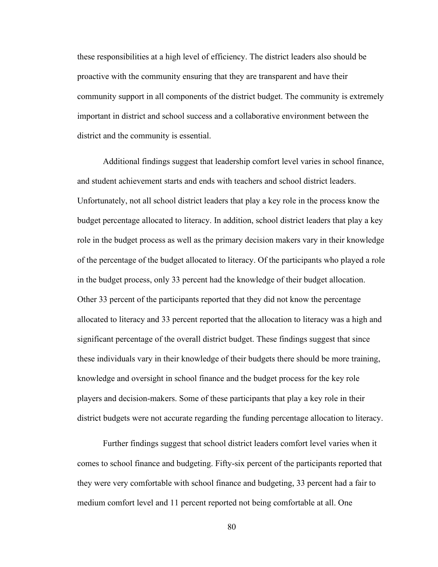these responsibilities at a high level of efficiency. The district leaders also should be proactive with the community ensuring that they are transparent and have their community support in all components of the district budget. The community is extremely important in district and school success and a collaborative environment between the district and the community is essential.

Additional findings suggest that leadership comfort level varies in school finance, and student achievement starts and ends with teachers and school district leaders. Unfortunately, not all school district leaders that play a key role in the process know the budget percentage allocated to literacy. In addition, school district leaders that play a key role in the budget process as well as the primary decision makers vary in their knowledge of the percentage of the budget allocated to literacy. Of the participants who played a role in the budget process, only 33 percent had the knowledge of their budget allocation. Other 33 percent of the participants reported that they did not know the percentage allocated to literacy and 33 percent reported that the allocation to literacy was a high and significant percentage of the overall district budget. These findings suggest that since these individuals vary in their knowledge of their budgets there should be more training, knowledge and oversight in school finance and the budget process for the key role players and decision-makers. Some of these participants that play a key role in their district budgets were not accurate regarding the funding percentage allocation to literacy.

Further findings suggest that school district leaders comfort level varies when it comes to school finance and budgeting. Fifty-six percent of the participants reported that they were very comfortable with school finance and budgeting, 33 percent had a fair to medium comfort level and 11 percent reported not being comfortable at all. One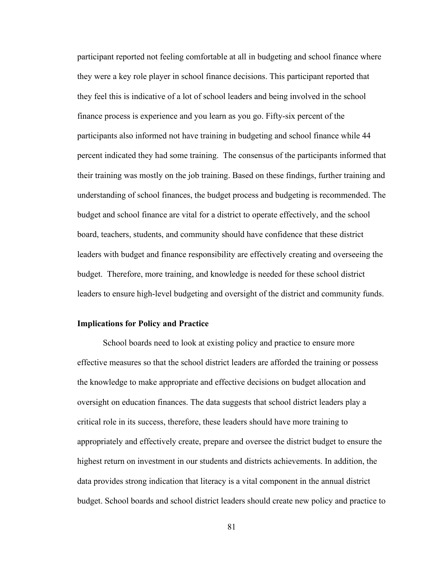participant reported not feeling comfortable at all in budgeting and school finance where they were a key role player in school finance decisions. This participant reported that they feel this is indicative of a lot of school leaders and being involved in the school finance process is experience and you learn as you go. Fifty-six percent of the participants also informed not have training in budgeting and school finance while 44 percent indicated they had some training. The consensus of the participants informed that their training was mostly on the job training. Based on these findings, further training and understanding of school finances, the budget process and budgeting is recommended. The budget and school finance are vital for a district to operate effectively, and the school board, teachers, students, and community should have confidence that these district leaders with budget and finance responsibility are effectively creating and overseeing the budget. Therefore, more training, and knowledge is needed for these school district leaders to ensure high-level budgeting and oversight of the district and community funds.

#### **Implications for Policy and Practice**

School boards need to look at existing policy and practice to ensure more effective measures so that the school district leaders are afforded the training or possess the knowledge to make appropriate and effective decisions on budget allocation and oversight on education finances. The data suggests that school district leaders play a critical role in its success, therefore, these leaders should have more training to appropriately and effectively create, prepare and oversee the district budget to ensure the highest return on investment in our students and districts achievements. In addition, the data provides strong indication that literacy is a vital component in the annual district budget. School boards and school district leaders should create new policy and practice to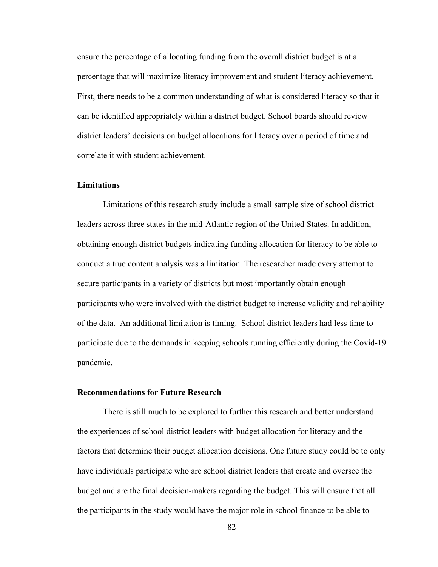ensure the percentage of allocating funding from the overall district budget is at a percentage that will maximize literacy improvement and student literacy achievement. First, there needs to be a common understanding of what is considered literacy so that it can be identified appropriately within a district budget. School boards should review district leaders' decisions on budget allocations for literacy over a period of time and correlate it with student achievement.

#### **Limitations**

Limitations of this research study include a small sample size of school district leaders across three states in the mid-Atlantic region of the United States. In addition, obtaining enough district budgets indicating funding allocation for literacy to be able to conduct a true content analysis was a limitation. The researcher made every attempt to secure participants in a variety of districts but most importantly obtain enough participants who were involved with the district budget to increase validity and reliability of the data. An additional limitation is timing. School district leaders had less time to participate due to the demands in keeping schools running efficiently during the Covid-19 pandemic.

#### **Recommendations for Future Research**

 There is still much to be explored to further this research and better understand the experiences of school district leaders with budget allocation for literacy and the factors that determine their budget allocation decisions. One future study could be to only have individuals participate who are school district leaders that create and oversee the budget and are the final decision-makers regarding the budget. This will ensure that all the participants in the study would have the major role in school finance to be able to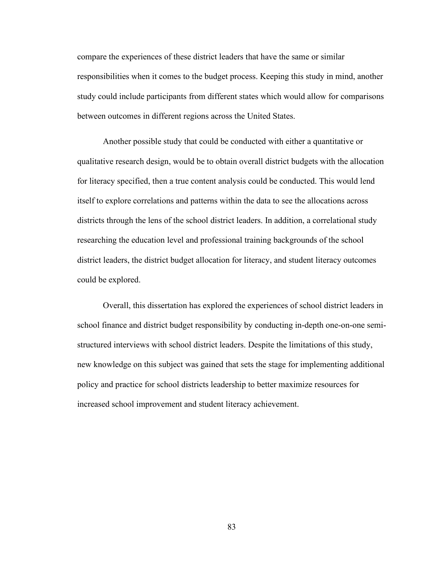compare the experiences of these district leaders that have the same or similar responsibilities when it comes to the budget process. Keeping this study in mind, another study could include participants from different states which would allow for comparisons between outcomes in different regions across the United States.

 Another possible study that could be conducted with either a quantitative or qualitative research design, would be to obtain overall district budgets with the allocation for literacy specified, then a true content analysis could be conducted. This would lend itself to explore correlations and patterns within the data to see the allocations across districts through the lens of the school district leaders. In addition, a correlational study researching the education level and professional training backgrounds of the school district leaders, the district budget allocation for literacy, and student literacy outcomes could be explored.

 Overall, this dissertation has explored the experiences of school district leaders in school finance and district budget responsibility by conducting in-depth one-on-one semistructured interviews with school district leaders. Despite the limitations of this study, new knowledge on this subject was gained that sets the stage for implementing additional policy and practice for school districts leadership to better maximize resources for increased school improvement and student literacy achievement.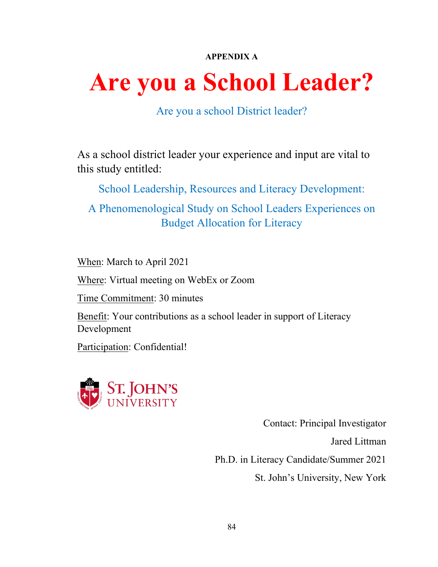## **APPENDIX A**

# **Are you a School Leader?**

Are you a school District leader?

As a school district leader your experience and input are vital to this study entitled:

School Leadership, Resources and Literacy Development:

A Phenomenological Study on School Leaders Experiences on Budget Allocation for Literacy

When: March to April 2021

Where: Virtual meeting on WebEx or Zoom

Time Commitment: 30 minutes

Benefit: Your contributions as a school leader in support of Literacy Development

Participation: Confidential!



Contact: Principal Investigator

Jared Littman

Ph.D. in Literacy Candidate/Summer 2021

St. John's University, New York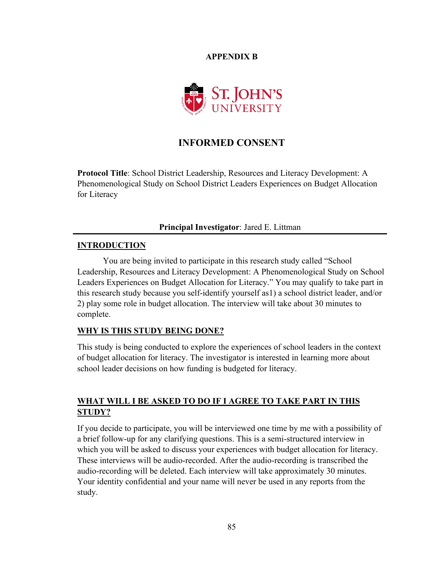**APPENDIX B** 



## **INFORMED CONSENT**

**Protocol Title**: School District Leadership, Resources and Literacy Development: A Phenomenological Study on School District Leaders Experiences on Budget Allocation for Literacy

#### **Principal Investigator**: Jared E. Littman

#### **INTRODUCTION**

You are being invited to participate in this research study called "School Leadership, Resources and Literacy Development: A Phenomenological Study on School Leaders Experiences on Budget Allocation for Literacy." You may qualify to take part in this research study because you self-identify yourself as1) a school district leader, and/or 2) play some role in budget allocation. The interview will take about 30 minutes to complete.

#### **WHY IS THIS STUDY BEING DONE?**

This study is being conducted to explore the experiences of school leaders in the context of budget allocation for literacy. The investigator is interested in learning more about school leader decisions on how funding is budgeted for literacy.

## **WHAT WILL I BE ASKED TO DO IF I AGREE TO TAKE PART IN THIS STUDY?**

If you decide to participate, you will be interviewed one time by me with a possibility of a brief follow-up for any clarifying questions. This is a semi-structured interview in which you will be asked to discuss your experiences with budget allocation for literacy. These interviews will be audio-recorded. After the audio-recording is transcribed the audio-recording will be deleted. Each interview will take approximately 30 minutes. Your identity confidential and your name will never be used in any reports from the study.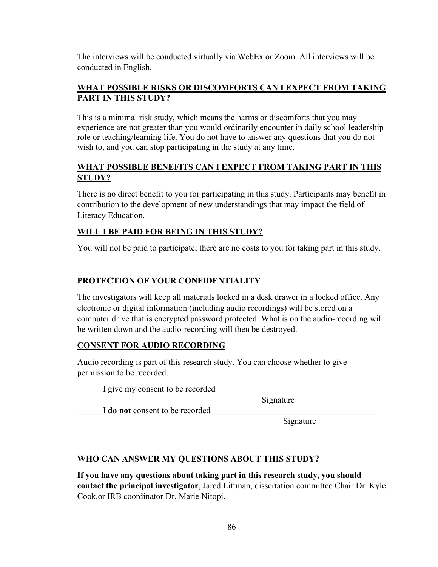The interviews will be conducted virtually via WebEx or Zoom. All interviews will be conducted in English.

#### **WHAT POSSIBLE RISKS OR DISCOMFORTS CAN I EXPECT FROM TAKING PART IN THIS STUDY?**

This is a minimal risk study, which means the harms or discomforts that you may experience are not greater than you would ordinarily encounter in daily school leadership role or teaching/learning life. You do not have to answer any questions that you do not wish to, and you can stop participating in the study at any time.

## **WHAT POSSIBLE BENEFITS CAN I EXPECT FROM TAKING PART IN THIS STUDY?**

There is no direct benefit to you for participating in this study. Participants may benefit in contribution to the development of new understandings that may impact the field of Literacy Education.

## **WILL I BE PAID FOR BEING IN THIS STUDY?**

You will not be paid to participate; there are no costs to you for taking part in this study.

## **PROTECTION OF YOUR CONFIDENTIALITY**

The investigators will keep all materials locked in a desk drawer in a locked office. Any electronic or digital information (including audio recordings) will be stored on a computer drive that is encrypted password protected. What is on the audio-recording will be written down and the audio-recording will then be destroyed.

## **CONSENT FOR AUDIO RECORDING**

Audio recording is part of this research study. You can choose whether to give permission to be recorded.

I give my consent to be recorded

Signature

I **do not** consent to be recorded

Signature

## **WHO CAN ANSWER MY QUESTIONS ABOUT THIS STUDY?**

**If you have any questions about taking part in this research study, you should contact the principal investigator**, Jared Littman, dissertation committee Chair Dr. Kyle Cook,or IRB coordinator Dr. Marie Nitopi.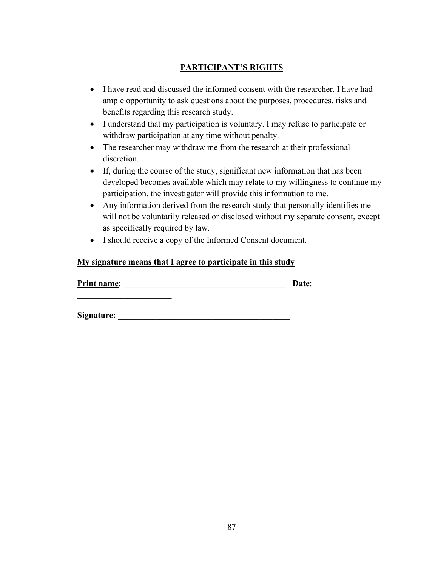## **PARTICIPANT'S RIGHTS**

- I have read and discussed the informed consent with the researcher. I have had ample opportunity to ask questions about the purposes, procedures, risks and benefits regarding this research study.
- I understand that my participation is voluntary. I may refuse to participate or withdraw participation at any time without penalty.
- The researcher may withdraw me from the research at their professional discretion.
- If, during the course of the study, significant new information that has been developed becomes available which may relate to my willingness to continue my participation, the investigator will provide this information to me.
- Any information derived from the research study that personally identifies me will not be voluntarily released or disclosed without my separate consent, except as specifically required by law.
- I should receive a copy of the Informed Consent document.

#### **My signature means that I agree to participate in this study**

**Print name**: \_\_\_\_\_\_\_\_\_\_\_\_\_\_\_\_\_\_\_\_\_\_\_\_\_\_\_\_\_\_\_\_\_\_\_\_\_\_ **Date**:

**Signature:**  $\blacksquare$ 

 $\overline{\phantom{a}}$  . The set of the set of the set of the set of the set of the set of the set of the set of the set of the set of the set of the set of the set of the set of the set of the set of the set of the set of the set o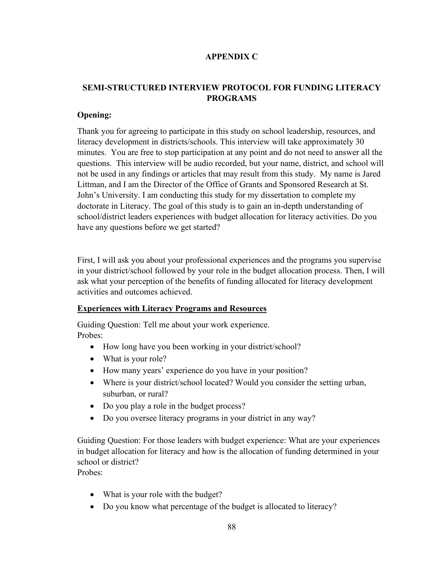#### **APPENDIX C**

## **SEMI-STRUCTURED INTERVIEW PROTOCOL FOR FUNDING LITERACY PROGRAMS**

#### **Opening:**

Thank you for agreeing to participate in this study on school leadership, resources, and literacy development in districts/schools. This interview will take approximately 30 minutes. You are free to stop participation at any point and do not need to answer all the questions. This interview will be audio recorded, but your name, district, and school will not be used in any findings or articles that may result from this study. My name is Jared Littman, and I am the Director of the Office of Grants and Sponsored Research at St. John's University. I am conducting this study for my dissertation to complete my doctorate in Literacy. The goal of this study is to gain an in-depth understanding of school/district leaders experiences with budget allocation for literacy activities. Do you have any questions before we get started?

First, I will ask you about your professional experiences and the programs you supervise in your district/school followed by your role in the budget allocation process. Then, I will ask what your perception of the benefits of funding allocated for literacy development activities and outcomes achieved.

#### **Experiences with Literacy Programs and Resources**

Guiding Question: Tell me about your work experience. Probes:

- How long have you been working in your district/school?
- What is your role?
- How many years' experience do you have in your position?
- Where is your district/school located? Would you consider the setting urban, suburban, or rural?
- Do you play a role in the budget process?
- Do you oversee literacy programs in your district in any way?

Guiding Question: For those leaders with budget experience: What are your experiences in budget allocation for literacy and how is the allocation of funding determined in your school or district? Probes:

• What is your role with the budget?

• Do you know what percentage of the budget is allocated to literacy?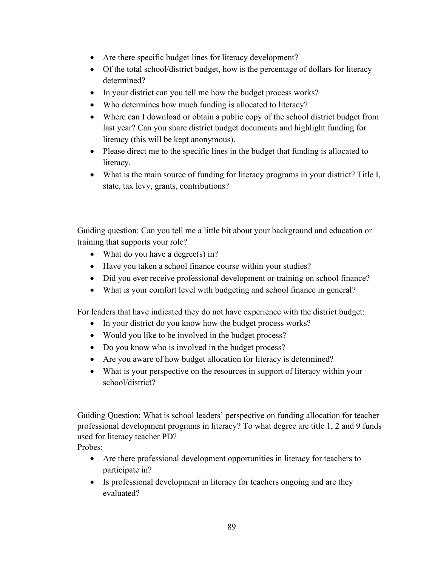- Are there specific budget lines for literacy development?
- Of the total school/district budget, how is the percentage of dollars for literacy determined?
- In your district can you tell me how the budget process works?
- Who determines how much funding is allocated to literacy?
- Where can I download or obtain a public copy of the school district budget from last year? Can you share district budget documents and highlight funding for literacy (this will be kept anonymous).
- Please direct me to the specific lines in the budget that funding is allocated to literacy.
- What is the main source of funding for literacy programs in your district? Title I, state, tax levy, grants, contributions?

Guiding question: Can you tell me a little bit about your background and education or training that supports your role?

- What do you have a degree(s) in?
- Have you taken a school finance course within your studies?
- Did you ever receive professional development or training on school finance?
- What is your comfort level with budgeting and school finance in general?

For leaders that have indicated they do not have experience with the district budget:

- In your district do you know how the budget process works?
- Would you like to be involved in the budget process?
- Do you know who is involved in the budget process?
- Are you aware of how budget allocation for literacy is determined?
- What is your perspective on the resources in support of literacy within your school/district?

Guiding Question: What is school leaders' perspective on funding allocation for teacher professional development programs in literacy? To what degree are title 1, 2 and 9 funds used for literacy teacher PD?

Probes:

- Are there professional development opportunities in literacy for teachers to participate in?
- Is professional development in literacy for teachers ongoing and are they evaluated?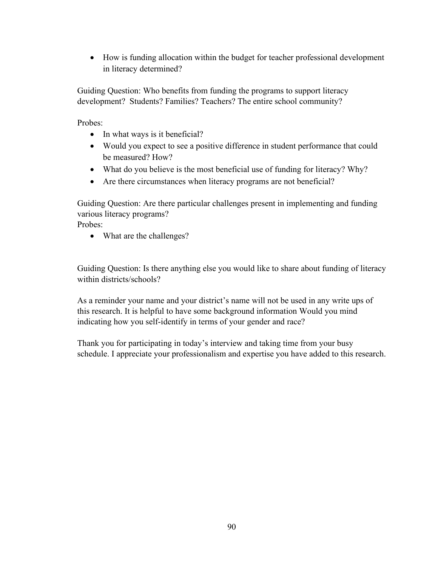• How is funding allocation within the budget for teacher professional development in literacy determined?

Guiding Question: Who benefits from funding the programs to support literacy development? Students? Families? Teachers? The entire school community?

Probes:

- In what ways is it beneficial?
- Would you expect to see a positive difference in student performance that could be measured? How?
- What do you believe is the most beneficial use of funding for literacy? Why?
- Are there circumstances when literacy programs are not beneficial?

Guiding Question: Are there particular challenges present in implementing and funding various literacy programs?

Probes:

• What are the challenges?

Guiding Question: Is there anything else you would like to share about funding of literacy within districts/schools?

As a reminder your name and your district's name will not be used in any write ups of this research. It is helpful to have some background information Would you mind indicating how you self-identify in terms of your gender and race?

Thank you for participating in today's interview and taking time from your busy schedule. I appreciate your professionalism and expertise you have added to this research.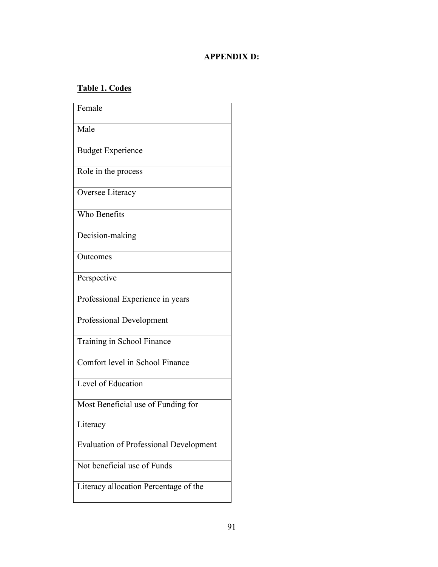## **APPENDIX D:**

# **Table 1. Codes**

| Female                                        |
|-----------------------------------------------|
| Male                                          |
| <b>Budget Experience</b>                      |
| Role in the process                           |
| Oversee Literacy                              |
| Who Benefits                                  |
| Decision-making                               |
| Outcomes                                      |
| Perspective                                   |
| Professional Experience in years              |
| Professional Development                      |
| Training in School Finance                    |
| Comfort level in School Finance               |
| Level of Education                            |
| Most Beneficial use of Funding for            |
| Literacy                                      |
| <b>Evaluation of Professional Development</b> |
| Not beneficial use of Funds                   |
| Literacy allocation Percentage of the         |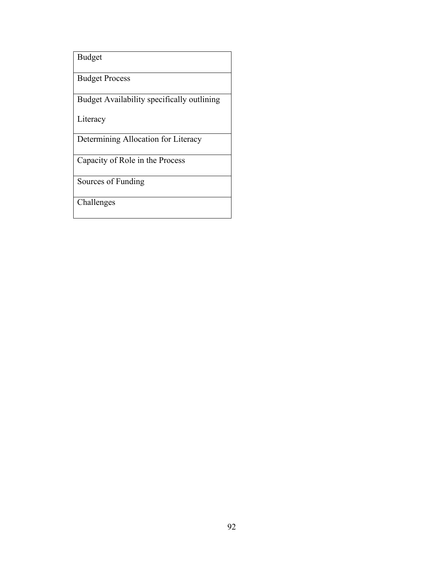Budget

Budget Process

Budget Availability specifically outlining

Literacy

Determining Allocation for Literacy

Capacity of Role in the Process

Sources of Funding

Challenges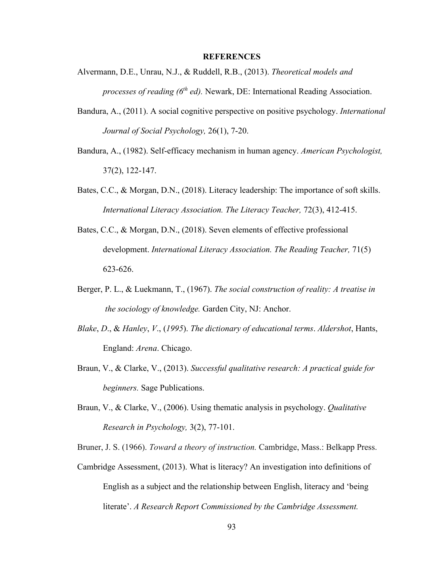#### **REFERENCES**

- Alvermann, D.E., Unrau, N.J., & Ruddell, R.B., (2013). *Theoretical models and processes of reading (6th ed).* Newark, DE: International Reading Association.
- Bandura, A., (2011). A social cognitive perspective on positive psychology. *International Journal of Social Psychology,* 26(1), 7-20.
- Bandura, A., (1982). Self-efficacy mechanism in human agency. *American Psychologist,* 37(2), 122-147.
- Bates, C.C., & Morgan, D.N., (2018). Literacy leadership: The importance of soft skills. *International Literacy Association. The Literacy Teacher, 72(3), 412-415.*
- Bates, C.C., & Morgan, D.N., (2018). Seven elements of effective professional development. *International Literacy Association. The Reading Teacher,* 71(5) 623-626.
- Berger, P. L., & Luekmann, T., (1967). *The social construction of reality: A treatise in the sociology of knowledge.* Garden City, NJ: Anchor.
- *Blake*, *D*., & *Hanley*, *V*., (*1995*). *The dictionary of educational terms*. *Aldershot*, Hants, England: *Arena*. Chicago.
- Braun, V., & Clarke, V., (2013). *Successful qualitative research: A practical guide for beginners.* Sage Publications.
- Braun, V., & Clarke, V., (2006). Using thematic analysis in psychology. *Qualitative Research in Psychology,* 3(2), 77-101.
- Bruner, J. S. (1966). *Toward a theory of instruction.* Cambridge, Mass.: Belkapp Press.
- Cambridge Assessment, (2013). What is literacy? An investigation into definitions of English as a subject and the relationship between English, literacy and 'being literate'. *A Research Report Commissioned by the Cambridge Assessment.*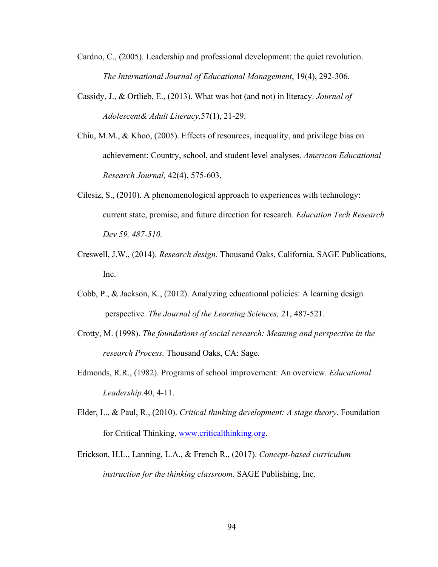- Cardno, C., (2005). Leadership and professional development: the quiet revolution. *The International Journal of Educational Management*, 19(4), 292-306.
- Cassidy, J., & Ortlieb, E., (2013). What was hot (and not) in literacy. *Journal of Adolescent& Adult Literacy,*57(1), 21-29.
- Chiu, M.M., & Khoo, (2005). Effects of resources, inequality, and privilege bias on achievement: Country, school, and student level analyses. *American Educational Research Journal,* 42(4), 575-603.
- Cilesiz, S., (2010). A phenomenological approach to experiences with technology: current state, promise, and future direction for research. *Education Tech Research Dev 59, 487-510.*
- Creswell, J.W., (2014). *Research design.* Thousand Oaks, California. SAGE Publications, Inc.
- Cobb, P., & Jackson, K., (2012). Analyzing educational policies: A learning design perspective. *The Journal of the Learning Sciences,* 21, 487-521.
- Crotty, M. (1998). *The foundations of social research: Meaning and perspective in the research Process.* Thousand Oaks, CA: Sage.
- Edmonds, R.R., (1982). Programs of school improvement: An overview. *Educational Leadership.*40, 4-11.
- Elder, L., & Paul, R., (2010). *Critical thinking development: A stage theory*. Foundation for Critical Thinking, [www.criticalthinking.org](http://www.criticalthinking.org/).
- Erickson, H.L., Lanning, L.A., & French R., (2017). *Concept-based curriculum instruction for the thinking classroom.* SAGE Publishing, Inc.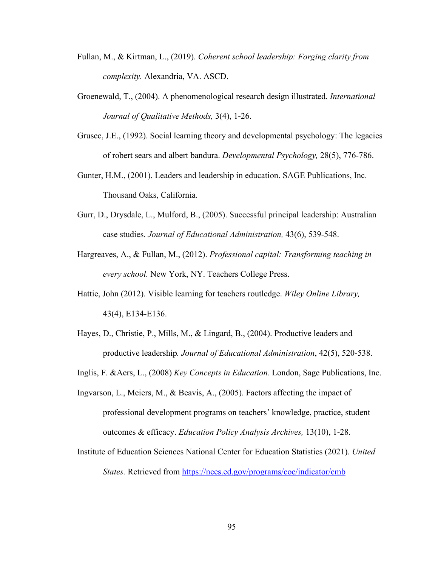- Fullan, M., & Kirtman, L., (2019). *Coherent school leadership: Forging clarity from complexity.* Alexandria, VA. ASCD.
- Groenewald, T., (2004). A phenomenological research design illustrated. *International Journal of Qualitative Methods,* 3(4), 1-26.
- Grusec, J.E., (1992). Social learning theory and developmental psychology: The legacies of robert sears and albert bandura. *Developmental Psychology,* 28(5), 776-786.
- Gunter, H.M., (2001). Leaders and leadership in education. SAGE Publications, Inc. Thousand Oaks, California.
- Gurr, D., Drysdale, L., Mulford, B., (2005). Successful principal leadership: Australian case studies. *Journal of Educational Administration,* 43(6), 539-548.
- Hargreaves, A., & Fullan, M., (2012). *Professional capital: Transforming teaching in every school.* New York, NY. Teachers College Press.
- Hattie, John (2012). Visible learning for teachers routledge. *Wiley Online Library,* 43(4), E134-E136.
- Hayes, D., Christie, P., Mills, M., & Lingard, B., (2004). Productive leaders and productive leadership*. Journal of Educational Administration*, 42(5), 520-538.
- Inglis, F. &Aers, L., (2008) *Key Concepts in Education.* London, Sage Publications, Inc.
- Ingvarson, L., Meiers, M., & Beavis, A., (2005). Factors affecting the impact of professional development programs on teachers' knowledge, practice, student outcomes & efficacy. *Education Policy Analysis Archives,* 13(10), 1-28.
- Institute of Education Sciences National Center for Education Statistics (2021). *United States.* Retrieved from<https://nces.ed.gov/programs/coe/indicator/cmb>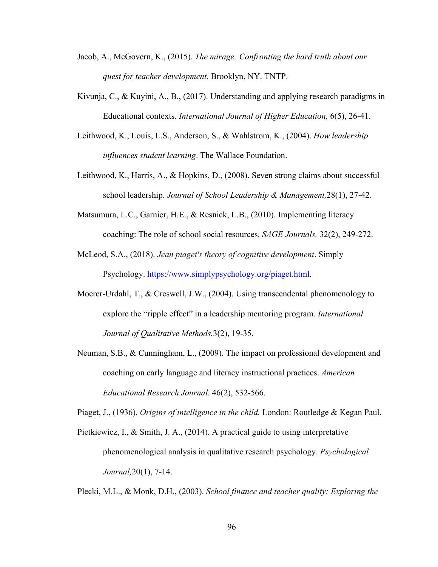- Jacob, A., McGovern, K., (2015). *The mirage: Confronting the hard truth about our quest for teacher development.* Brooklyn, NY. TNTP.
- Kivunja, C., & Kuyini, A., B., (2017). Understanding and applying research paradigms in Educational contexts. *International Journal of Higher Education,* 6(5), 26-41.
- Leithwood, K., Louis, L.S., Anderson, S., & Wahlstrom, K., (2004). *How leadership influences student learning*. The Wallace Foundation.
- Leithwood, K., Harris, A., & Hopkins, D., (2008). Seven strong claims about successful school leadership. *Journal of School Leadership & Management,*28(1), 27-42.
- Matsumura, L.C., Garnier, H.E., & Resnick, L.B., (2010). Implementing literacy coaching: The role of school social resources. *SAGE Journals,* 32(2), 249-272.
- McLeod, S.A., (2018). *Jean piaget's theory of cognitive development*. Simply Psychology. [https://www.simplypsychology.org/piaget.html.](https://www.simplypsychology.org/piaget.html)
- Moerer-Urdahl, T., & Creswell, J.W., (2004). Using transcendental phenomenology to explore the "ripple effect" in a leadership mentoring program. *International Journal of Qualitative Methods.*3(2), 19-35.
- Neuman, S.B., & Cunningham, L., (2009). The impact on professional development and coaching on early language and literacy instructional practices. *American Educational Research Journal.* 46(2), 532-566.

Piaget, J., (1936). *Origins of intelligence in the child.* London: Routledge & Kegan Paul.

Pietkiewicz, I., & Smith, J. A., (2014). A practical guide to using interpretative phenomenological analysis in qualitative research psychology. *Psychological Journal,*20(1), 7-14.

Plecki, M.L., & Monk, D.H., (2003). *School finance and teacher quality: Exploring the*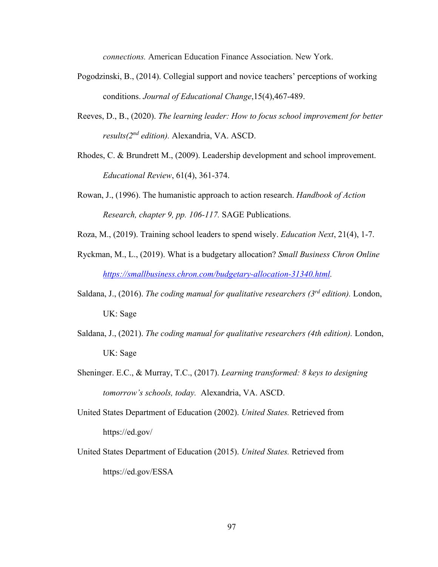*connections.* American Education Finance Association. New York.

- Pogodzinski, B., (2014). Collegial support and novice teachers' perceptions of working conditions. *[Journal of Educational Change](https://search-proquest-com.jerome.stjohns.edu/pubidlinkhandler/sng/pubtitle/Journal+of+Educational+Change/$N/2034535/PagePdf/1655746889/fulltextPDF/E1802C7668964FA4PQ/1?accountid=14068)*,15(4),467-489.
- Reeves, D., B., (2020). *The learning leader: How to focus school improvement for better results(2nd edition).* Alexandria, VA. ASCD.
- Rhodes, C. & Brundrett M., (2009). Leadership development and school improvement. *Educational Review*, 61(4), 361-374.
- Rowan, J., (1996). The humanistic approach to action research. *Handbook of Action Research, chapter 9, pp. 106-117.* SAGE Publications.
- Roza, M., (2019). Training school leaders to spend wisely. *Education Next*, 21(4), 1-7.
- Ryckman, M., L., (2019). What is a budgetary allocation? *Small Business Chron Online [https://smallbusiness.chron.com/budgetary-allocation-31340.html.](https://smallbusiness.chron.com/budgetary-allocation-31340.html)*
- Saldana, J., (2016). *The coding manual for qualitative researchers (3rd edition).* London, UK: Sage
- Saldana, J., (2021). *The coding manual for qualitative researchers (4th edition).* London, UK: Sage
- Sheninger. E.C., & Murray, T.C., (2017). *Learning transformed: 8 keys to designing tomorrow's schools, today.* Alexandria, VA. ASCD.
- United States Department of Education (2002). *United States.* Retrieved from https://ed.gov/
- United States Department of Education (2015). *United States.* Retrieved from https://ed.gov/ESSA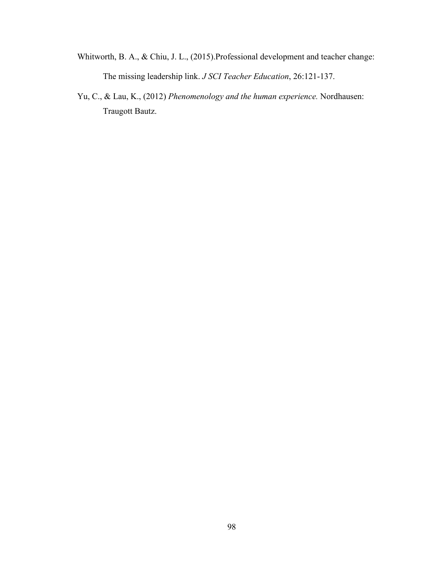- Whitworth, B. A., & Chiu, J. L., (2015).Professional development and teacher change: The missing leadership link. *J SCI Teacher Education*, 26:121-137.
- Yu, C., & Lau, K., (2012) *Phenomenology and the human experience.* Nordhausen: Traugott Bautz.